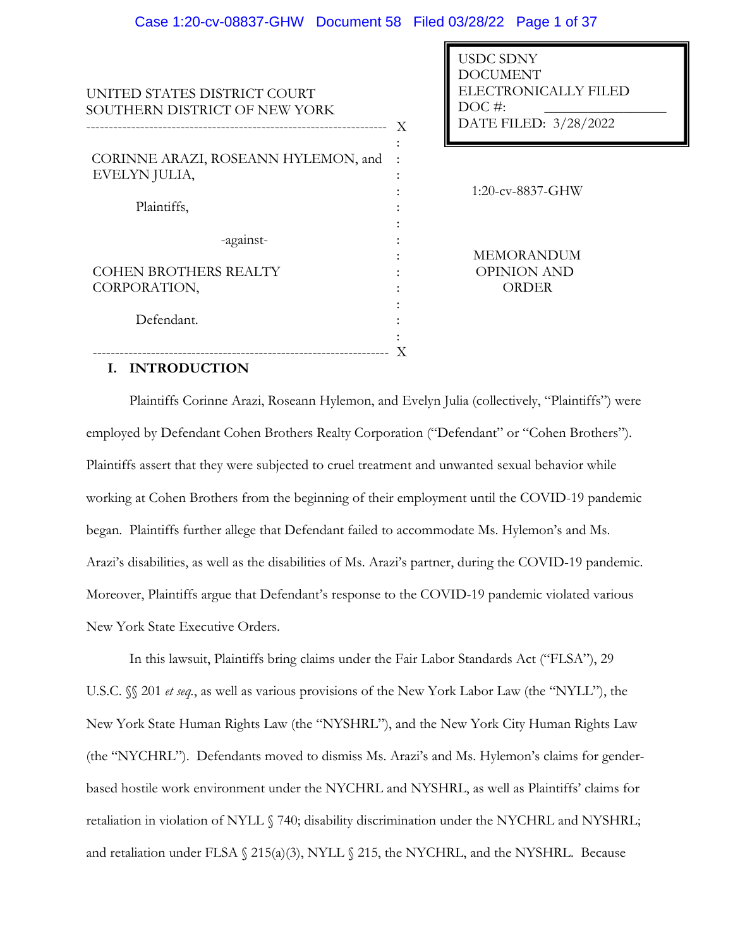USDC SDNY

| UNITED STATES DISTRICT COURT<br>SOUTHERN DISTRICT OF NEW YORK | <u>UUDU UDINI</u><br><b>DOCUMENT</b><br>ELECTRONICALLY FILED<br>$DOC$ #:<br>DATE FILED: 3/28/2022<br>X |
|---------------------------------------------------------------|--------------------------------------------------------------------------------------------------------|
| CORINNE ARAZI, ROSEANN HYLEMON, and<br>EVELYN JULIA,          |                                                                                                        |
| Plaintiffs,                                                   | $1:20$ -cv-8837-GHW                                                                                    |
| -against-                                                     | <b>MEMORANDUM</b>                                                                                      |
| <b>COHEN BROTHERS REALTY</b>                                  | <b>OPINION AND</b>                                                                                     |
| CORPORATION,                                                  | <b>ORDER</b>                                                                                           |
| Defendant.                                                    |                                                                                                        |
|                                                               |                                                                                                        |

### **I. INTRODUCTION**

Plaintiffs Corinne Arazi, Roseann Hylemon, and Evelyn Julia (collectively, "Plaintiffs") were employed by Defendant Cohen Brothers Realty Corporation ("Defendant" or "Cohen Brothers"). Plaintiffs assert that they were subjected to cruel treatment and unwanted sexual behavior while working at Cohen Brothers from the beginning of their employment until the COVID-19 pandemic began. Plaintiffs further allege that Defendant failed to accommodate Ms. Hylemon's and Ms. Arazi's disabilities, as well as the disabilities of Ms. Arazi's partner, during the COVID-19 pandemic. Moreover, Plaintiffs argue that Defendant's response to the COVID-19 pandemic violated various New York State Executive Orders.

In this lawsuit, Plaintiffs bring claims under the Fair Labor Standards Act ("FLSA"), 29 U.S.C. §§ 201 *et seq.*, as well as various provisions of the New York Labor Law (the "NYLL"), the New York State Human Rights Law (the "NYSHRL"), and the New York City Human Rights Law (the "NYCHRL"). Defendants moved to dismiss Ms. Arazi's and Ms. Hylemon's claims for genderbased hostile work environment under the NYCHRL and NYSHRL, as well as Plaintiffs' claims for retaliation in violation of NYLL § 740; disability discrimination under the NYCHRL and NYSHRL; and retaliation under FLSA  $\S$  215(a)(3), NYLL  $\S$  215, the NYCHRL, and the NYSHRL. Because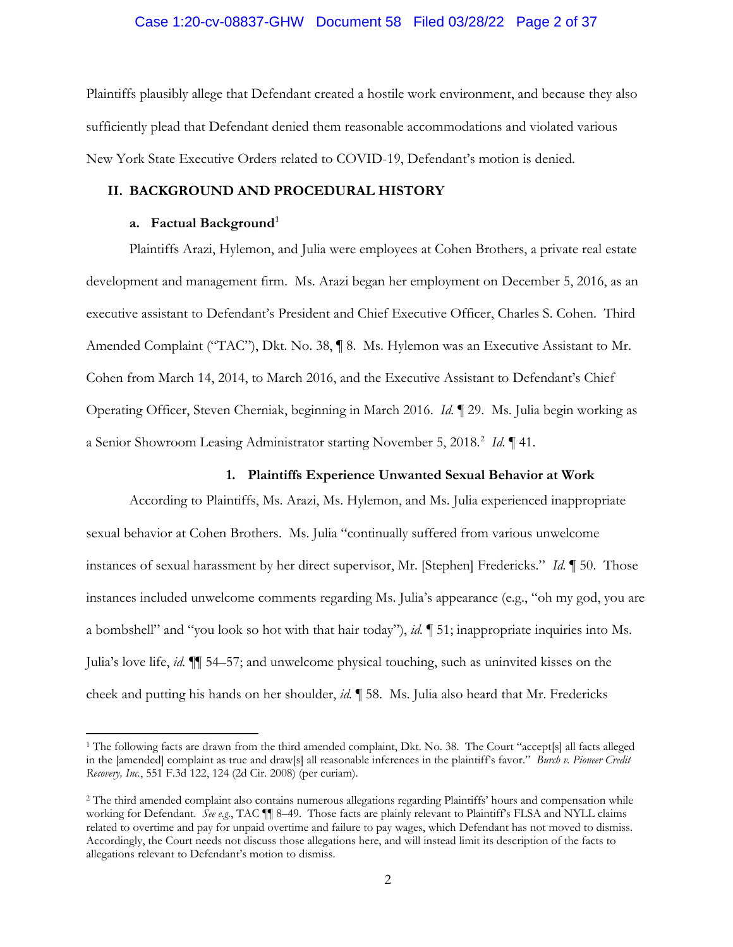### Case 1:20-cv-08837-GHW Document 58 Filed 03/28/22 Page 2 of 37

Plaintiffs plausibly allege that Defendant created a hostile work environment, and because they also sufficiently plead that Defendant denied them reasonable accommodations and violated various New York State Executive Orders related to COVID-19, Defendant's motion is denied.

# **II. BACKGROUND AND PROCEDURAL HISTORY**

### **a. Factual Background1**

Plaintiffs Arazi, Hylemon, and Julia were employees at Cohen Brothers, a private real estate development and management firm. Ms. Arazi began her employment on December 5, 2016, as an executive assistant to Defendant's President and Chief Executive Officer, Charles S. Cohen. Third Amended Complaint ("TAC"), Dkt. No. 38, 18. Ms. Hylemon was an Executive Assistant to Mr. Cohen from March 14, 2014, to March 2016, and the Executive Assistant to Defendant's Chief Operating Officer, Steven Cherniak, beginning in March 2016. *Id.* ¶ 29. Ms. Julia begin working as a Senior Showroom Leasing Administrator starting November 5, 2018.<sup>2</sup> Id. 141.

### **1. Plaintiffs Experience Unwanted Sexual Behavior at Work**

According to Plaintiffs, Ms. Arazi, Ms. Hylemon, and Ms. Julia experienced inappropriate sexual behavior at Cohen Brothers. Ms. Julia "continually suffered from various unwelcome instances of sexual harassment by her direct supervisor, Mr. [Stephen] Fredericks." *Id.* ¶ 50. Those instances included unwelcome comments regarding Ms. Julia's appearance (e.g., "oh my god, you are a bombshell" and "you look so hot with that hair today"), *id.* ¶ 51; inappropriate inquiries into Ms. Julia's love life, *id.* ¶¶ 54–57; and unwelcome physical touching, such as uninvited kisses on the cheek and putting his hands on her shoulder, *id.* ¶ 58. Ms. Julia also heard that Mr. Fredericks

<sup>&</sup>lt;sup>1</sup> The following facts are drawn from the third amended complaint, Dkt. No. 38. The Court "accept[s] all facts alleged in the [amended] complaint as true and draw[s] all reasonable inferences in the plaintiff's favor." *Burch v. Pioneer Credit Recovery, Inc.*, 551 F.3d 122, 124 (2d Cir. 2008) (per curiam).

<sup>2</sup> The third amended complaint also contains numerous allegations regarding Plaintiffs' hours and compensation while working for Defendant. *See e.g.*, TAC  $\P$  8–49. Those facts are plainly relevant to Plaintiff's FLSA and NYLL claims related to overtime and pay for unpaid overtime and failure to pay wages, which Defendant has not moved to dismiss. Accordingly, the Court needs not discuss those allegations here, and will instead limit its description of the facts to allegations relevant to Defendant's motion to dismiss.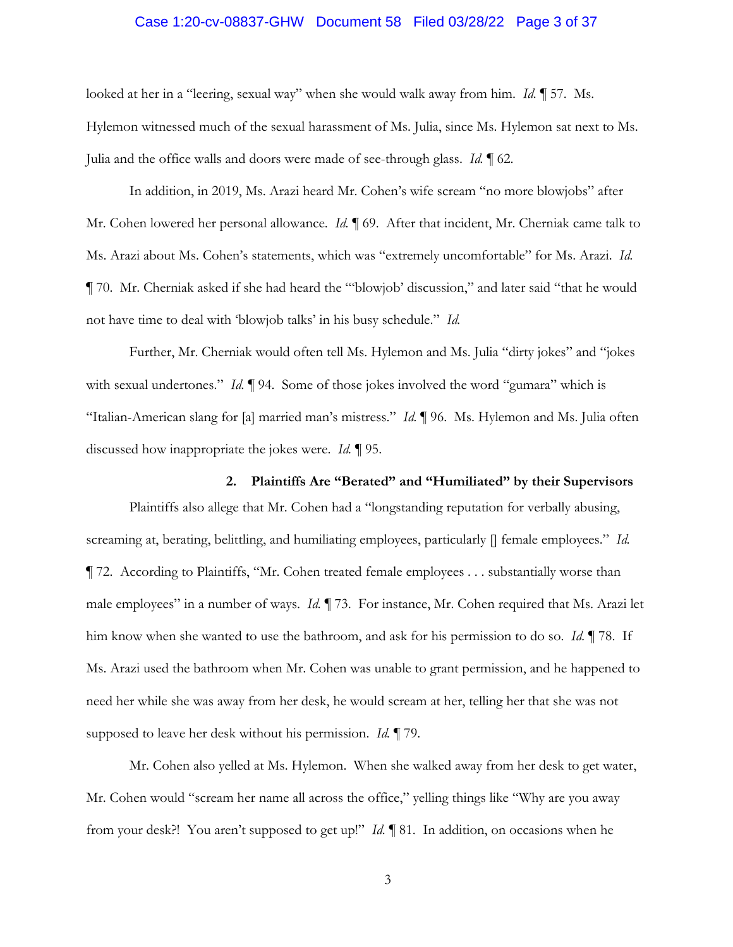# Case 1:20-cv-08837-GHW Document 58 Filed 03/28/22 Page 3 of 37

looked at her in a "leering, sexual way" when she would walk away from him. *Id.* ¶ 57. Ms. Hylemon witnessed much of the sexual harassment of Ms. Julia, since Ms. Hylemon sat next to Ms. Julia and the office walls and doors were made of see-through glass. *Id.* ¶ 62.

In addition, in 2019, Ms. Arazi heard Mr. Cohen's wife scream "no more blowjobs" after Mr. Cohen lowered her personal allowance. *Id.* **[69.** After that incident, Mr. Cherniak came talk to Ms. Arazi about Ms. Cohen's statements, which was "extremely uncomfortable" for Ms. Arazi. *Id.*  ¶ 70. Mr. Cherniak asked if she had heard the "'blowjob' discussion," and later said "that he would not have time to deal with 'blowjob talks' in his busy schedule." *Id.* 

Further, Mr. Cherniak would often tell Ms. Hylemon and Ms. Julia "dirty jokes" and "jokes with sexual undertones." *Id.* 194. Some of those jokes involved the word "gumara" which is "Italian-American slang for [a] married man's mistress." *Id.* ¶ 96. Ms. Hylemon and Ms. Julia often discussed how inappropriate the jokes were. *Id.* ¶ 95.

**2. Plaintiffs Are "Berated" and "Humiliated" by their Supervisors** Plaintiffs also allege that Mr. Cohen had a "longstanding reputation for verbally abusing, screaming at, berating, belittling, and humiliating employees, particularly [] female employees." *Id.*  ¶ 72. According to Plaintiffs, "Mr. Cohen treated female employees . . . substantially worse than male employees" in a number of ways. *Id.* ¶ 73. For instance, Mr. Cohen required that Ms. Arazi let him know when she wanted to use the bathroom, and ask for his permission to do so. *Id.* ¶ 78. If Ms. Arazi used the bathroom when Mr. Cohen was unable to grant permission, and he happened to need her while she was away from her desk, he would scream at her, telling her that she was not supposed to leave her desk without his permission. *Id.* ¶ 79.

Mr. Cohen also yelled at Ms. Hylemon. When she walked away from her desk to get water, Mr. Cohen would "scream her name all across the office," yelling things like "Why are you away from your desk?! You aren't supposed to get up!" *Id.* ¶ 81. In addition, on occasions when he

3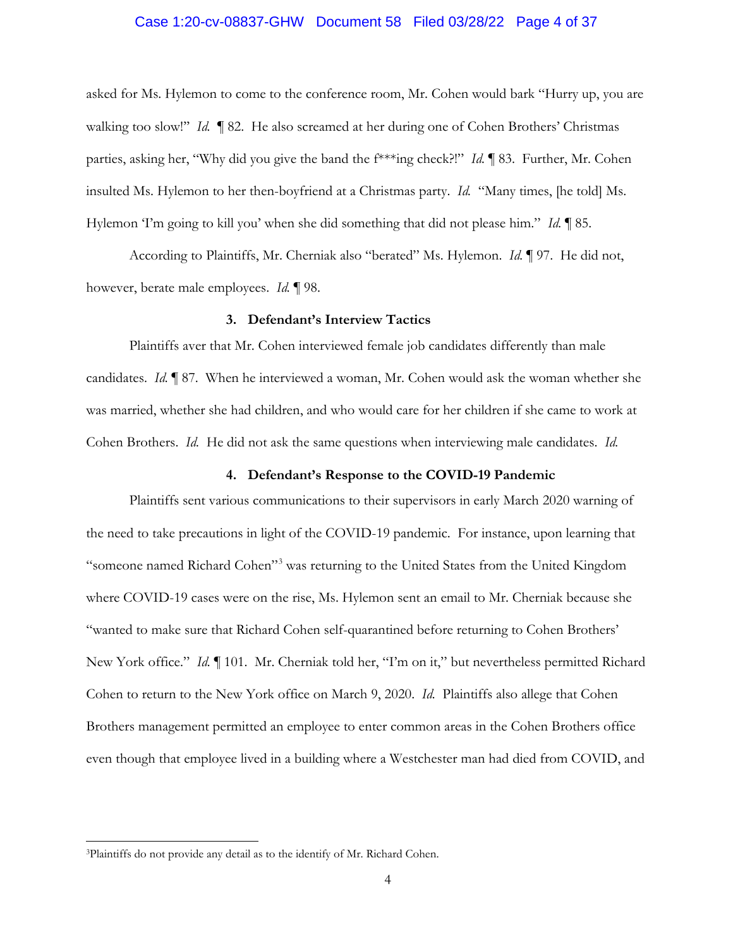### Case 1:20-cv-08837-GHW Document 58 Filed 03/28/22 Page 4 of 37

asked for Ms. Hylemon to come to the conference room, Mr. Cohen would bark "Hurry up, you are walking too slow!" *Id.*  $\parallel$  82. He also screamed at her during one of Cohen Brothers' Christmas parties, asking her, "Why did you give the band the f\*\*\*ing check?!" *Id.* ¶ 83. Further, Mr. Cohen insulted Ms. Hylemon to her then-boyfriend at a Christmas party. *Id.* "Many times, [he told] Ms. Hylemon 'I'm going to kill you' when she did something that did not please him." *Id.* ¶ 85.

According to Plaintiffs, Mr. Cherniak also "berated" Ms. Hylemon. *Id.* ¶ 97. He did not, however, berate male employees. *Id.* ¶ 98.

### **3. Defendant's Interview Tactics**

Plaintiffs aver that Mr. Cohen interviewed female job candidates differently than male candidates. *Id.* ¶ 87. When he interviewed a woman, Mr. Cohen would ask the woman whether she was married, whether she had children, and who would care for her children if she came to work at Cohen Brothers. *Id.* He did not ask the same questions when interviewing male candidates. *Id.* 

#### **4. Defendant's Response to the COVID-19 Pandemic**

Plaintiffs sent various communications to their supervisors in early March 2020 warning of the need to take precautions in light of the COVID-19 pandemic. For instance, upon learning that "someone named Richard Cohen"3 was returning to the United States from the United Kingdom where COVID-19 cases were on the rise, Ms. Hylemon sent an email to Mr. Cherniak because she "wanted to make sure that Richard Cohen self-quarantined before returning to Cohen Brothers' New York office." *Id.* 101. Mr. Cherniak told her, "I'm on it," but nevertheless permitted Richard Cohen to return to the New York office on March 9, 2020. *Id.* Plaintiffs also allege that Cohen Brothers management permitted an employee to enter common areas in the Cohen Brothers office even though that employee lived in a building where a Westchester man had died from COVID, and

<sup>3</sup>Plaintiffs do not provide any detail as to the identify of Mr. Richard Cohen.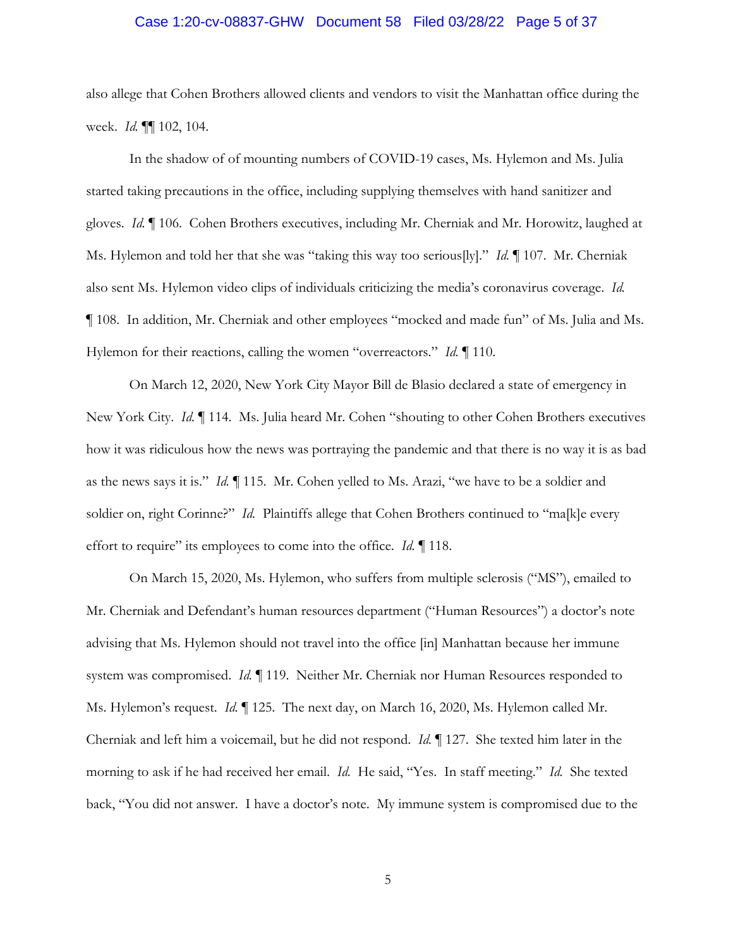### Case 1:20-cv-08837-GHW Document 58 Filed 03/28/22 Page 5 of 37

also allege that Cohen Brothers allowed clients and vendors to visit the Manhattan office during the week. *Id.* ¶¶ 102, 104.

In the shadow of of mounting numbers of COVID-19 cases, Ms. Hylemon and Ms. Julia started taking precautions in the office, including supplying themselves with hand sanitizer and gloves. *Id. ¶* 106. Cohen Brothers executives, including Mr. Cherniak and Mr. Horowitz, laughed at Ms. Hylemon and told her that she was "taking this way too serious[ly]." *Id.* ¶ 107. Mr. Cherniak also sent Ms. Hylemon video clips of individuals criticizing the media's coronavirus coverage. *Id.*  ¶ 108. In addition, Mr. Cherniak and other employees "mocked and made fun" of Ms. Julia and Ms. Hylemon for their reactions, calling the women "overreactors." *Id.* ¶ 110.

On March 12, 2020, New York City Mayor Bill de Blasio declared a state of emergency in New York City. *Id.* ¶ 114. Ms. Julia heard Mr. Cohen "shouting to other Cohen Brothers executives how it was ridiculous how the news was portraying the pandemic and that there is no way it is as bad as the news says it is." *Id.* ¶ 115. Mr. Cohen yelled to Ms. Arazi, "we have to be a soldier and soldier on, right Corinne?" *Id.* Plaintiffs allege that Cohen Brothers continued to "ma[k]e every effort to require" its employees to come into the office. *Id.* ¶ 118.

On March 15, 2020, Ms. Hylemon, who suffers from multiple sclerosis ("MS"), emailed to Mr. Cherniak and Defendant's human resources department ("Human Resources") a doctor's note advising that Ms. Hylemon should not travel into the office [in] Manhattan because her immune system was compromised. *Id.* ¶ 119. Neither Mr. Cherniak nor Human Resources responded to Ms. Hylemon's request. *Id.* ¶ 125. The next day, on March 16, 2020, Ms. Hylemon called Mr. Cherniak and left him a voicemail, but he did not respond. *Id.* ¶ 127. She texted him later in the morning to ask if he had received her email. *Id.* He said, "Yes. In staff meeting." *Id.* She texted back, "You did not answer. I have a doctor's note. My immune system is compromised due to the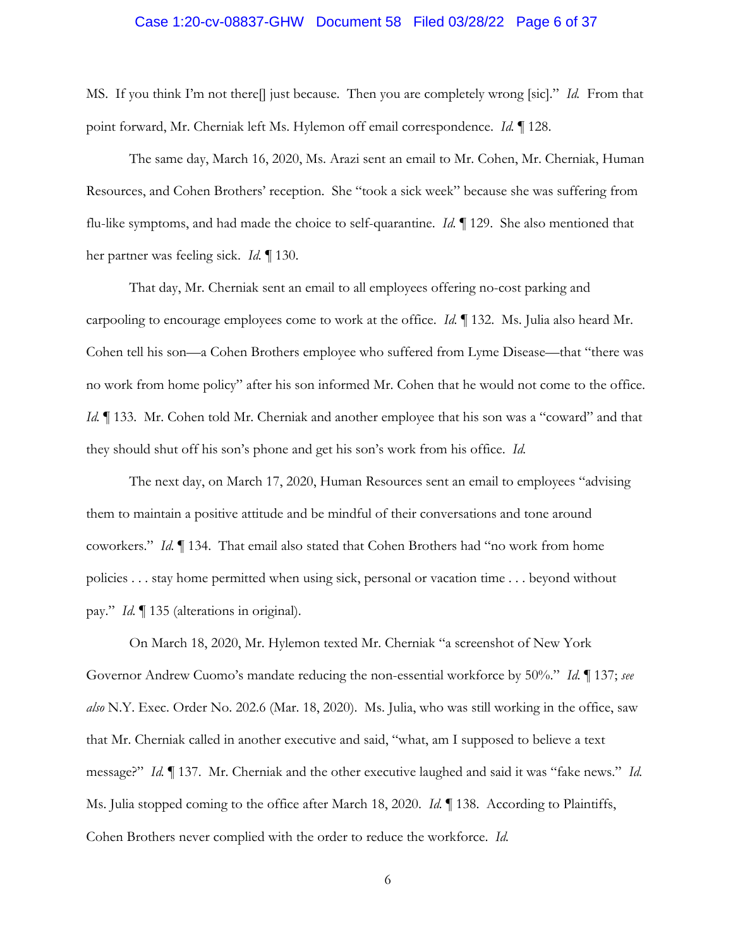### Case 1:20-cv-08837-GHW Document 58 Filed 03/28/22 Page 6 of 37

MS. If you think I'm not there[] just because. Then you are completely wrong [sic]." *Id.* From that point forward, Mr. Cherniak left Ms. Hylemon off email correspondence. *Id.* ¶ 128.

The same day, March 16, 2020, Ms. Arazi sent an email to Mr. Cohen, Mr. Cherniak, Human Resources, and Cohen Brothers' reception. She "took a sick week" because she was suffering from flu-like symptoms, and had made the choice to self-quarantine. *Id.* ¶ 129. She also mentioned that her partner was feeling sick. *Id.* ¶ 130.

That day, Mr. Cherniak sent an email to all employees offering no-cost parking and carpooling to encourage employees come to work at the office. *Id.* ¶ 132. Ms. Julia also heard Mr. Cohen tell his son—a Cohen Brothers employee who suffered from Lyme Disease—that "there was no work from home policy" after his son informed Mr. Cohen that he would not come to the office. *Id.* If 133. Mr. Cohen told Mr. Cherniak and another employee that his son was a "coward" and that they should shut off his son's phone and get his son's work from his office. *Id.* 

The next day, on March 17, 2020, Human Resources sent an email to employees "advising them to maintain a positive attitude and be mindful of their conversations and tone around coworkers." *Id.* ¶ 134. That email also stated that Cohen Brothers had "no work from home policies . . . stay home permitted when using sick, personal or vacation time . . . beyond without pay." *Id.* ¶ 135 (alterations in original).

On March 18, 2020, Mr. Hylemon texted Mr. Cherniak "a screenshot of New York Governor Andrew Cuomo's mandate reducing the non-essential workforce by 50%." *Id.* ¶ 137; *see also* N.Y. Exec. Order No. 202.6 (Mar. 18, 2020). Ms. Julia, who was still working in the office, saw that Mr. Cherniak called in another executive and said, "what, am I supposed to believe a text message?" *Id.* ¶ 137. Mr. Cherniak and the other executive laughed and said it was "fake news." *Id.* Ms. Julia stopped coming to the office after March 18, 2020. *Id.* ¶ 138. According to Plaintiffs, Cohen Brothers never complied with the order to reduce the workforce. *Id.*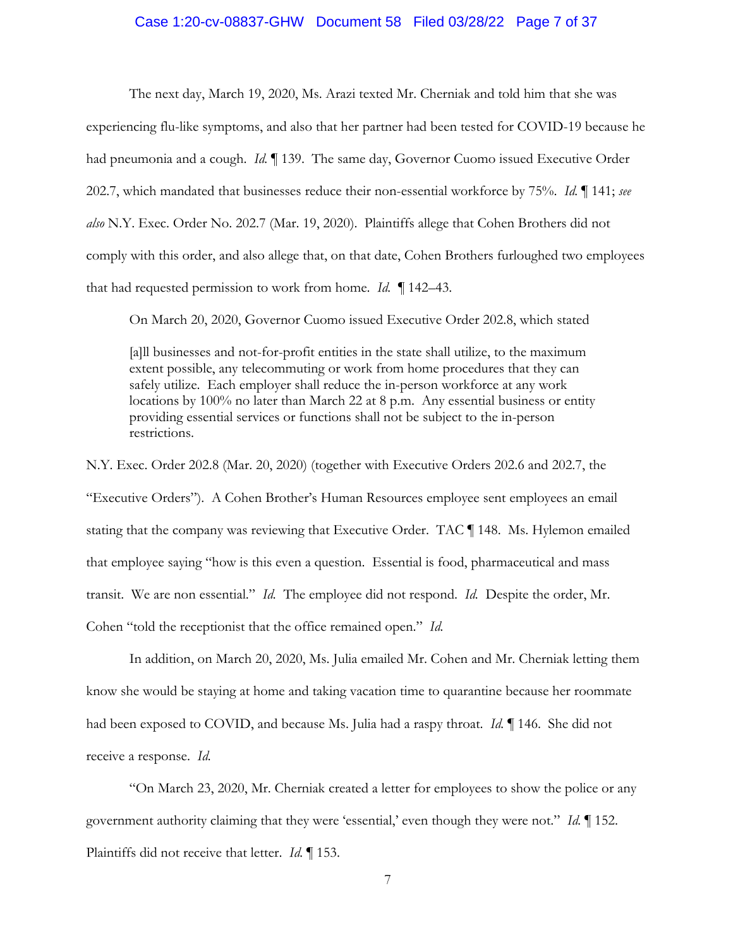## Case 1:20-cv-08837-GHW Document 58 Filed 03/28/22 Page 7 of 37

The next day, March 19, 2020, Ms. Arazi texted Mr. Cherniak and told him that she was experiencing flu-like symptoms, and also that her partner had been tested for COVID-19 because he had pneumonia and a cough. *Id.* 139. The same day, Governor Cuomo issued Executive Order 202.7, which mandated that businesses reduce their non-essential workforce by 75%. *Id.* ¶ 141; *see also* N.Y. Exec. Order No. 202.7 (Mar. 19, 2020). Plaintiffs allege that Cohen Brothers did not comply with this order, and also allege that, on that date, Cohen Brothers furloughed two employees that had requested permission to work from home. *Id.* ¶ 142–43.

On March 20, 2020, Governor Cuomo issued Executive Order 202.8, which stated

[a]ll businesses and not-for-profit entities in the state shall utilize, to the maximum extent possible, any telecommuting or work from home procedures that they can safely utilize. Each employer shall reduce the in-person workforce at any work locations by 100% no later than March 22 at 8 p.m. Any essential business or entity providing essential services or functions shall not be subject to the in-person restrictions.

N.Y. Exec. Order 202.8 (Mar. 20, 2020) (together with Executive Orders 202.6 and 202.7, the "Executive Orders"). A Cohen Brother's Human Resources employee sent employees an email stating that the company was reviewing that Executive Order. TAC ¶ 148. Ms. Hylemon emailed that employee saying "how is this even a question. Essential is food, pharmaceutical and mass transit. We are non essential." *Id.* The employee did not respond. *Id.* Despite the order, Mr. Cohen "told the receptionist that the office remained open." *Id.*

In addition, on March 20, 2020, Ms. Julia emailed Mr. Cohen and Mr. Cherniak letting them know she would be staying at home and taking vacation time to quarantine because her roommate had been exposed to COVID, and because Ms. Julia had a raspy throat. *Id.* ¶ 146. She did not receive a response. *Id.* 

"On March 23, 2020, Mr. Cherniak created a letter for employees to show the police or any government authority claiming that they were 'essential,' even though they were not." *Id.* ¶ 152. Plaintiffs did not receive that letter. *Id.* ¶ 153.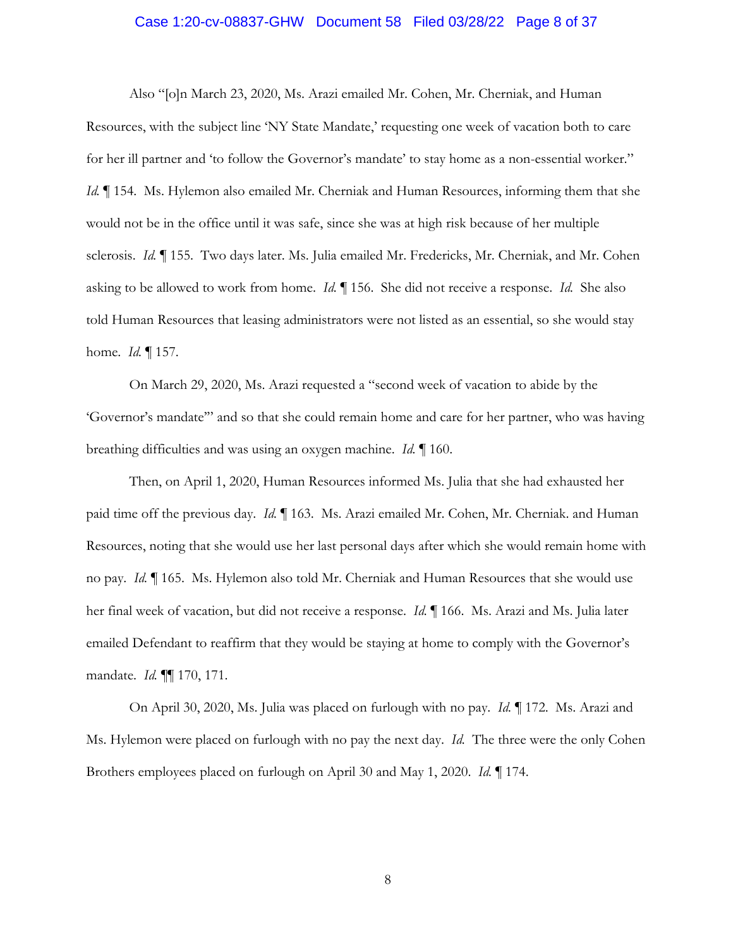### Case 1:20-cv-08837-GHW Document 58 Filed 03/28/22 Page 8 of 37

Also "[o]n March 23, 2020, Ms. Arazi emailed Mr. Cohen, Mr. Cherniak, and Human Resources, with the subject line 'NY State Mandate,' requesting one week of vacation both to care for her ill partner and 'to follow the Governor's mandate' to stay home as a non-essential worker." *Id.* 154. Ms. Hylemon also emailed Mr. Cherniak and Human Resources, informing them that she would not be in the office until it was safe, since she was at high risk because of her multiple sclerosis. *Id.* ¶ 155. Two days later. Ms. Julia emailed Mr. Fredericks, Mr. Cherniak, and Mr. Cohen asking to be allowed to work from home. *Id.* ¶ 156. She did not receive a response. *Id.* She also told Human Resources that leasing administrators were not listed as an essential, so she would stay home. *Id.* ¶ 157.

On March 29, 2020, Ms. Arazi requested a "second week of vacation to abide by the 'Governor's mandate'" and so that she could remain home and care for her partner, who was having breathing difficulties and was using an oxygen machine. *Id.* ¶ 160.

Then, on April 1, 2020, Human Resources informed Ms. Julia that she had exhausted her paid time off the previous day. *Id.* 163. Ms. Arazi emailed Mr. Cohen, Mr. Cherniak. and Human Resources, noting that she would use her last personal days after which she would remain home with no pay. *Id.* ¶ 165. Ms. Hylemon also told Mr. Cherniak and Human Resources that she would use her final week of vacation, but did not receive a response. *Id.* ¶ 166. Ms. Arazi and Ms. Julia later emailed Defendant to reaffirm that they would be staying at home to comply with the Governor's mandate. *Id.* ¶¶ 170, 171.

On April 30, 2020, Ms. Julia was placed on furlough with no pay. *Id.* ¶ 172. Ms. Arazi and Ms. Hylemon were placed on furlough with no pay the next day. *Id.* The three were the only Cohen Brothers employees placed on furlough on April 30 and May 1, 2020. *Id.* ¶ 174.

8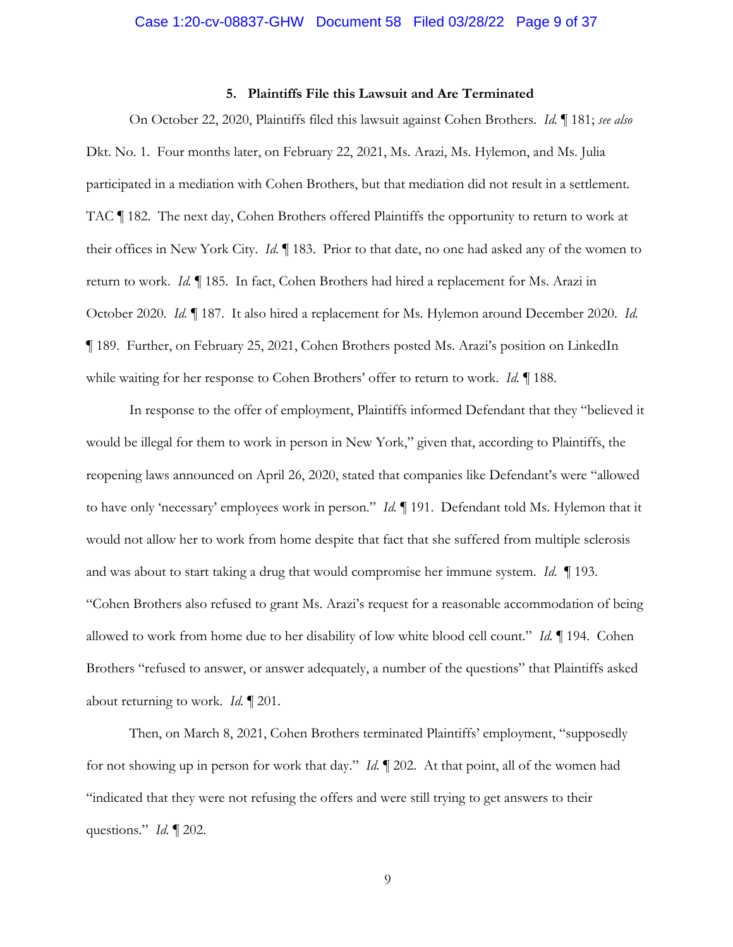#### **5. Plaintiffs File this Lawsuit and Are Terminated**

On October 22, 2020, Plaintiffs filed this lawsuit against Cohen Brothers. *Id.* ¶ 181; *see also* Dkt. No. 1. Four months later, on February 22, 2021, Ms. Arazi, Ms. Hylemon, and Ms. Julia participated in a mediation with Cohen Brothers, but that mediation did not result in a settlement. TAC ¶ 182. The next day, Cohen Brothers offered Plaintiffs the opportunity to return to work at their offices in New York City. *Id.* ¶ 183. Prior to that date, no one had asked any of the women to return to work. *Id.* ¶ 185. In fact, Cohen Brothers had hired a replacement for Ms. Arazi in October 2020. *Id.* ¶ 187. It also hired a replacement for Ms. Hylemon around December 2020. *Id.*  ¶ 189. Further, on February 25, 2021, Cohen Brothers posted Ms. Arazi's position on LinkedIn while waiting for her response to Cohen Brothers' offer to return to work. *Id.* ¶ 188.

In response to the offer of employment, Plaintiffs informed Defendant that they "believed it would be illegal for them to work in person in New York," given that, according to Plaintiffs, the reopening laws announced on April 26, 2020, stated that companies like Defendant's were "allowed to have only 'necessary' employees work in person." *Id.* ¶ 191. Defendant told Ms. Hylemon that it would not allow her to work from home despite that fact that she suffered from multiple sclerosis and was about to start taking a drug that would compromise her immune system. *Id.* ¶ 193. "Cohen Brothers also refused to grant Ms. Arazi's request for a reasonable accommodation of being allowed to work from home due to her disability of low white blood cell count." *Id.* ¶ 194. Cohen Brothers "refused to answer, or answer adequately, a number of the questions" that Plaintiffs asked about returning to work. *Id.* ¶ 201.

Then, on March 8, 2021, Cohen Brothers terminated Plaintiffs' employment, "supposedly for not showing up in person for work that day." *Id.* ¶ 202. At that point, all of the women had "indicated that they were not refusing the offers and were still trying to get answers to their questions." *Id.* ¶ 202.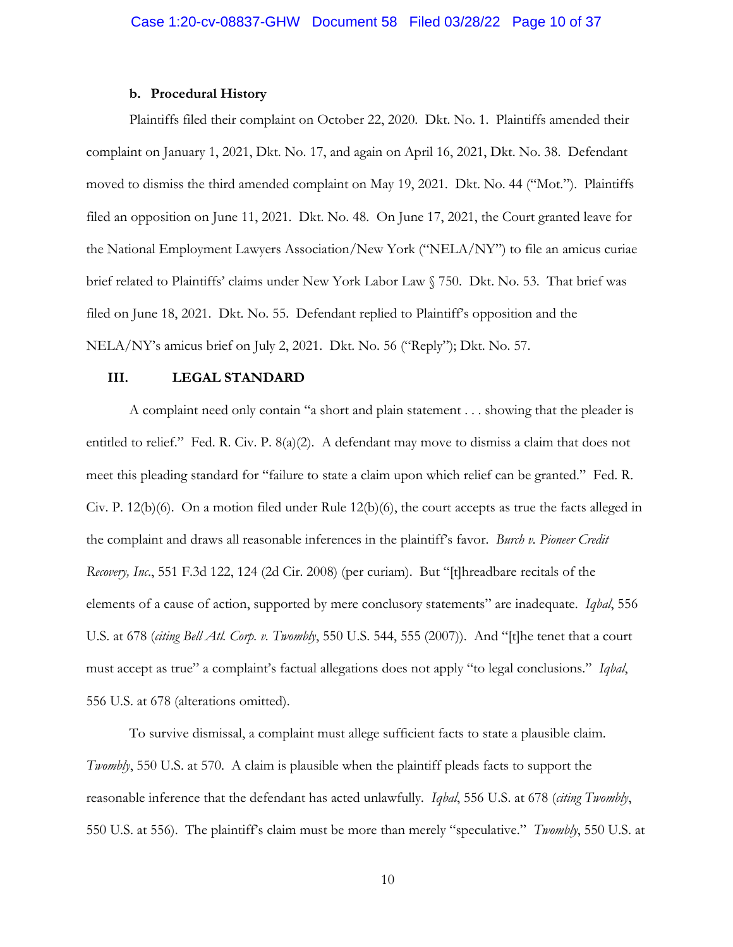#### **b. Procedural History**

Plaintiffs filed their complaint on October 22, 2020. Dkt. No. 1. Plaintiffs amended their complaint on January 1, 2021, Dkt. No. 17, and again on April 16, 2021, Dkt. No. 38. Defendant moved to dismiss the third amended complaint on May 19, 2021. Dkt. No. 44 ("Mot."). Plaintiffs filed an opposition on June 11, 2021. Dkt. No. 48. On June 17, 2021, the Court granted leave for the National Employment Lawyers Association/New York ("NELA/NY") to file an amicus curiae brief related to Plaintiffs' claims under New York Labor Law § 750. Dkt. No. 53. That brief was filed on June 18, 2021. Dkt. No. 55. Defendant replied to Plaintiff's opposition and the NELA/NY's amicus brief on July 2, 2021. Dkt. No. 56 ("Reply"); Dkt. No. 57.

## **III. LEGAL STANDARD**

A complaint need only contain "a short and plain statement . . . showing that the pleader is entitled to relief." Fed. R. Civ. P. 8(a)(2). A defendant may move to dismiss a claim that does not meet this pleading standard for "failure to state a claim upon which relief can be granted." Fed. R. Civ. P. 12(b)(6). On a motion filed under Rule 12(b)(6), the court accepts as true the facts alleged in the complaint and draws all reasonable inferences in the plaintiff's favor. *Burch v. Pioneer Credit Recovery, Inc*., 551 F.3d 122, 124 (2d Cir. 2008) (per curiam). But "[t]hreadbare recitals of the elements of a cause of action, supported by mere conclusory statements" are inadequate. *Iqbal*, 556 U.S. at 678 (*citing Bell Atl. Corp. v. Twombly*, 550 U.S. 544, 555 (2007)). And "[t]he tenet that a court must accept as true" a complaint's factual allegations does not apply "to legal conclusions." *Iqbal*, 556 U.S. at 678 (alterations omitted).

To survive dismissal, a complaint must allege sufficient facts to state a plausible claim. *Twombly*, 550 U.S. at 570. A claim is plausible when the plaintiff pleads facts to support the reasonable inference that the defendant has acted unlawfully*. Iqbal*, 556 U.S. at 678 (*citing Twombly*, 550 U.S. at 556). The plaintiff's claim must be more than merely "speculative." *Twombly*, 550 U.S. at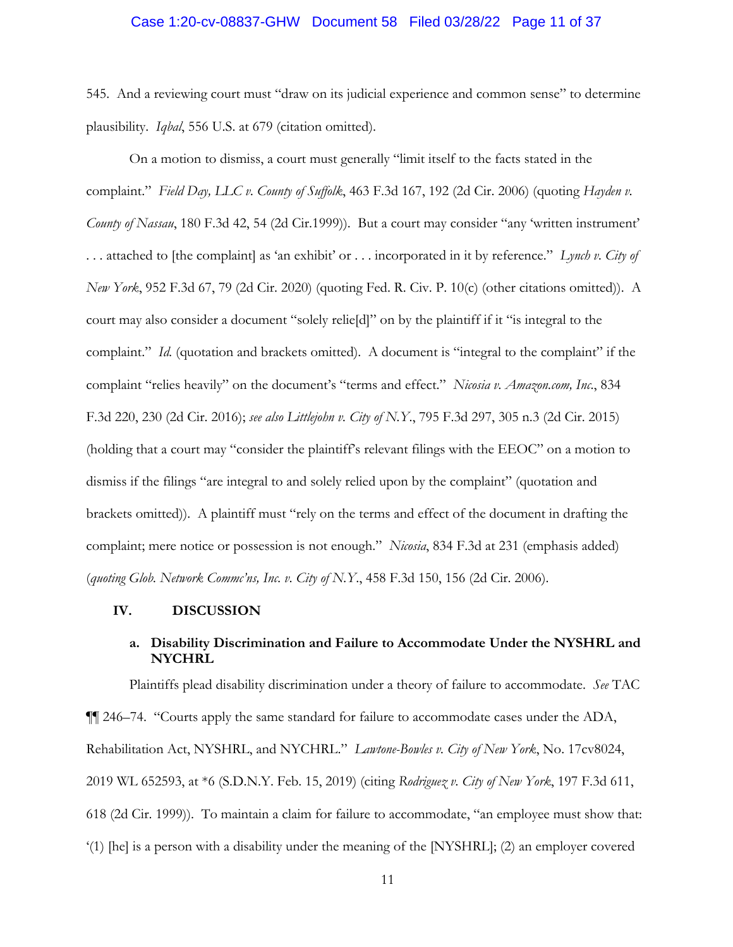### Case 1:20-cv-08837-GHW Document 58 Filed 03/28/22 Page 11 of 37

545. And a reviewing court must "draw on its judicial experience and common sense" to determine plausibility. *Iqbal*, 556 U.S. at 679 (citation omitted).

On a motion to dismiss, a court must generally "limit itself to the facts stated in the complaint." *Field Day, LLC v. County of Suffolk*, 463 F.3d 167, 192 (2d Cir. 2006) (quoting *Hayden v. County of Nassau*, 180 F.3d 42, 54 (2d Cir.1999)). But a court may consider "any 'written instrument' . . . attached to [the complaint] as 'an exhibit' or . . . incorporated in it by reference." *Lynch v. City of New York*, 952 F.3d 67, 79 (2d Cir. 2020) (quoting Fed. R. Civ. P. 10(c) (other citations omitted)). A court may also consider a document "solely relie[d]" on by the plaintiff if it "is integral to the complaint." *Id.* (quotation and brackets omitted). A document is "integral to the complaint" if the complaint "relies heavily" on the document's "terms and effect." *Nicosia v. Amazon.com, Inc*., 834 F.3d 220, 230 (2d Cir. 2016); *see also Littlejohn v. City of N.Y*., 795 F.3d 297, 305 n.3 (2d Cir. 2015) (holding that a court may "consider the plaintiff's relevant filings with the EEOC" on a motion to dismiss if the filings "are integral to and solely relied upon by the complaint" (quotation and brackets omitted)). A plaintiff must "rely on the terms and effect of the document in drafting the complaint; mere notice or possession is not enough." *Nicosia*, 834 F.3d at 231 (emphasis added) (*quoting Glob. Network Commc'ns, Inc. v. City of N.Y*., 458 F.3d 150, 156 (2d Cir. 2006).

### **IV. DISCUSSION**

## **a. Disability Discrimination and Failure to Accommodate Under the NYSHRL and NYCHRL**

Plaintiffs plead disability discrimination under a theory of failure to accommodate. *See* TAC ¶¶ 246–74. "Courts apply the same standard for failure to accommodate cases under the ADA, Rehabilitation Act, NYSHRL, and NYCHRL." *Lawtone-Bowles v. City of New York*, No. 17cv8024, 2019 WL 652593, at \*6 (S.D.N.Y. Feb. 15, 2019) (citing *Rodriguez v. City of New York*, 197 F.3d 611, 618 (2d Cir. 1999)). To maintain a claim for failure to accommodate, "an employee must show that: '(1) [he] is a person with a disability under the meaning of the [NYSHRL]; (2) an employer covered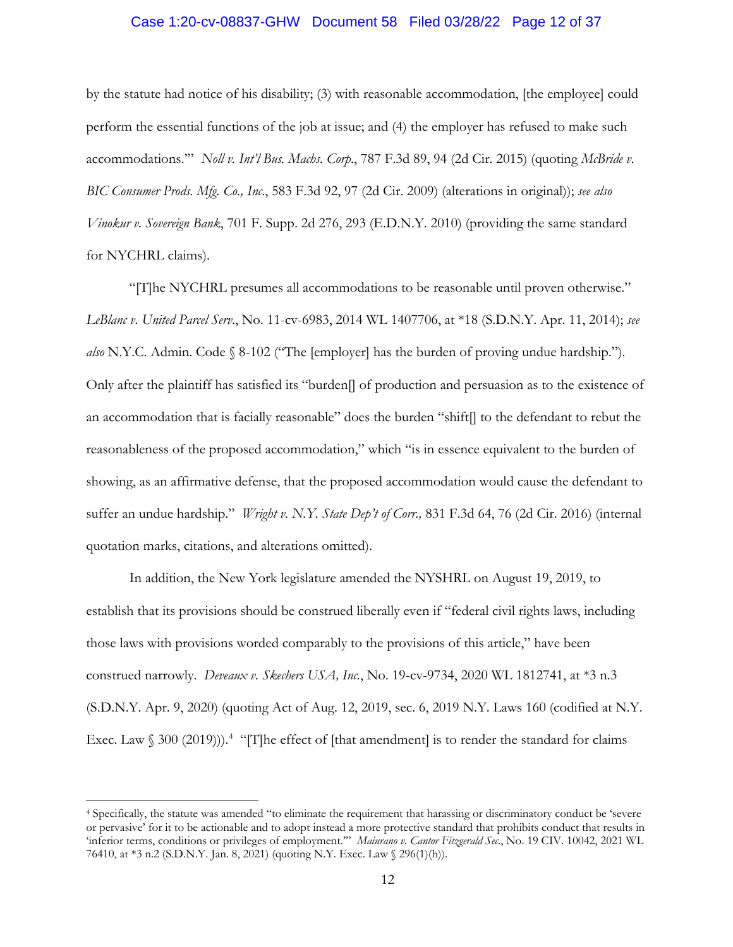## Case 1:20-cv-08837-GHW Document 58 Filed 03/28/22 Page 12 of 37

by the statute had notice of his disability; (3) with reasonable accommodation, [the employee] could perform the essential functions of the job at issue; and (4) the employer has refused to make such accommodations.'" *Noll v. Int'l Bus. Machs. Corp*., 787 F.3d 89, 94 (2d Cir. 2015) (quoting *McBride v. BIC Consumer Prods. Mfg. Co., Inc*., 583 F.3d 92, 97 (2d Cir. 2009) (alterations in original)); *see also Vinokur v. Sovereign Bank*, 701 F. Supp. 2d 276, 293 (E.D.N.Y. 2010) (providing the same standard for NYCHRL claims).

"[T]he NYCHRL presumes all accommodations to be reasonable until proven otherwise." *LeBlanc v. United Parcel Serv*., No. 11-cv-6983, 2014 WL 1407706, at \*18 (S.D.N.Y. Apr. 11, 2014); *see also* N.Y.C. Admin. Code § 8-102 ("The [employer] has the burden of proving undue hardship."). Only after the plaintiff has satisfied its "burden[] of production and persuasion as to the existence of an accommodation that is facially reasonable" does the burden "shift[] to the defendant to rebut the reasonableness of the proposed accommodation," which "is in essence equivalent to the burden of showing, as an affirmative defense, that the proposed accommodation would cause the defendant to suffer an undue hardship." *Wright v. N.Y. State Dep't of Corr.,* 831 F.3d 64, 76 (2d Cir. 2016) (internal quotation marks, citations, and alterations omitted).

In addition, the New York legislature amended the NYSHRL on August 19, 2019, to establish that its provisions should be construed liberally even if "federal civil rights laws, including those laws with provisions worded comparably to the provisions of this article," have been construed narrowly. *Deveaux v. Skechers USA, Inc.*, No. 19-cv-9734, 2020 WL 1812741, at \*3 n.3 (S.D.N.Y. Apr. 9, 2020) (quoting Act of Aug. 12, 2019, sec. 6, 2019 N.Y. Laws 160 (codified at N.Y. Exec. Law § 300 (2019))).<sup>4</sup> "[T]he effect of [that amendment] is to render the standard for claims

<sup>4</sup> Specifically, the statute was amended "to eliminate the requirement that harassing or discriminatory conduct be 'severe or pervasive' for it to be actionable and to adopt instead a more protective standard that prohibits conduct that results in 'inferior terms, conditions or privileges of employment.'" *Maiurano v. Cantor Fitzgerald Sec*., No. 19 CIV. 10042, 2021 WL 76410, at \*3 n.2 (S.D.N.Y. Jan. 8, 2021) (quoting N.Y. Exec. Law § 296(1)(h)).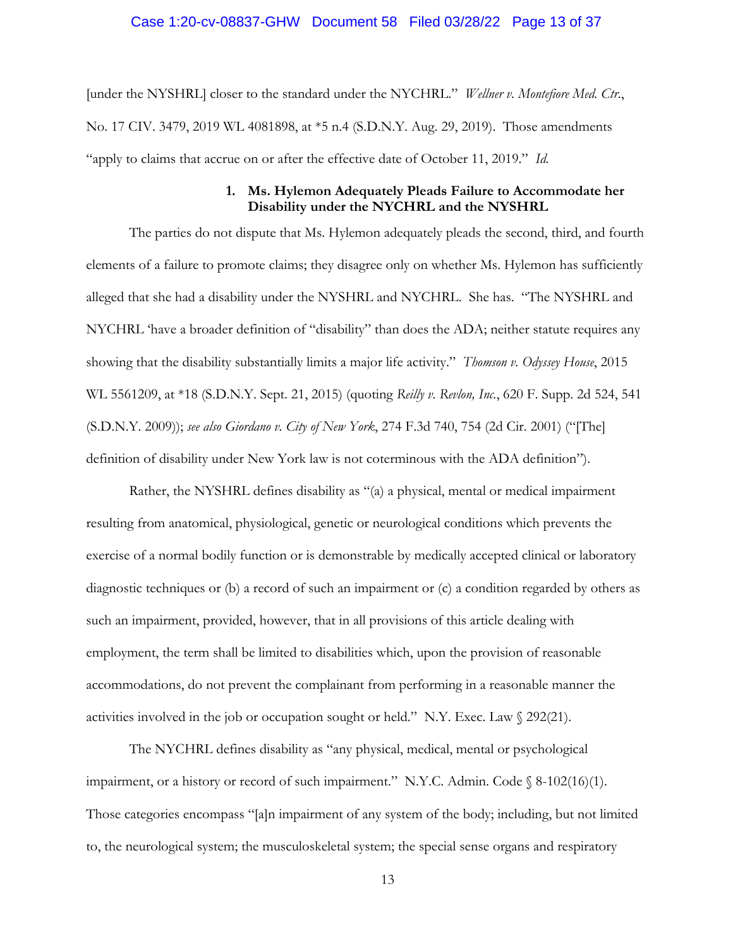### Case 1:20-cv-08837-GHW Document 58 Filed 03/28/22 Page 13 of 37

[under the NYSHRL] closer to the standard under the NYCHRL." *Wellner v. Montefiore Med. Ctr*., No. 17 CIV. 3479, 2019 WL 4081898, at \*5 n.4 (S.D.N.Y. Aug. 29, 2019). Those amendments "apply to claims that accrue on or after the effective date of October 11, 2019." *Id.* 

### **1. Ms. Hylemon Adequately Pleads Failure to Accommodate her Disability under the NYCHRL and the NYSHRL**

The parties do not dispute that Ms. Hylemon adequately pleads the second, third, and fourth elements of a failure to promote claims; they disagree only on whether Ms. Hylemon has sufficiently alleged that she had a disability under the NYSHRL and NYCHRL. She has. "The NYSHRL and NYCHRL 'have a broader definition of "disability" than does the ADA; neither statute requires any showing that the disability substantially limits a major life activity." *Thomson v. Odyssey House*, 2015 WL 5561209, at \*18 (S.D.N.Y. Sept. 21, 2015) (quoting *Reilly v. Revlon, Inc.*, 620 F. Supp. 2d 524, 541 (S.D.N.Y. 2009)); *see also Giordano v. City of New York*, 274 F.3d 740, 754 (2d Cir. 2001) ("[The] definition of disability under New York law is not coterminous with the ADA definition").

Rather, the NYSHRL defines disability as "(a) a physical, mental or medical impairment resulting from anatomical, physiological, genetic or neurological conditions which prevents the exercise of a normal bodily function or is demonstrable by medically accepted clinical or laboratory diagnostic techniques or (b) a record of such an impairment or (c) a condition regarded by others as such an impairment, provided, however, that in all provisions of this article dealing with employment, the term shall be limited to disabilities which, upon the provision of reasonable accommodations, do not prevent the complainant from performing in a reasonable manner the activities involved in the job or occupation sought or held." N.Y. Exec. Law  $\sqrt{}$  292(21).

The NYCHRL defines disability as "any physical, medical, mental or psychological impairment, or a history or record of such impairment." N.Y.C. Admin. Code § 8-102(16)(1). Those categories encompass "[a]n impairment of any system of the body; including, but not limited to, the neurological system; the musculoskeletal system; the special sense organs and respiratory

13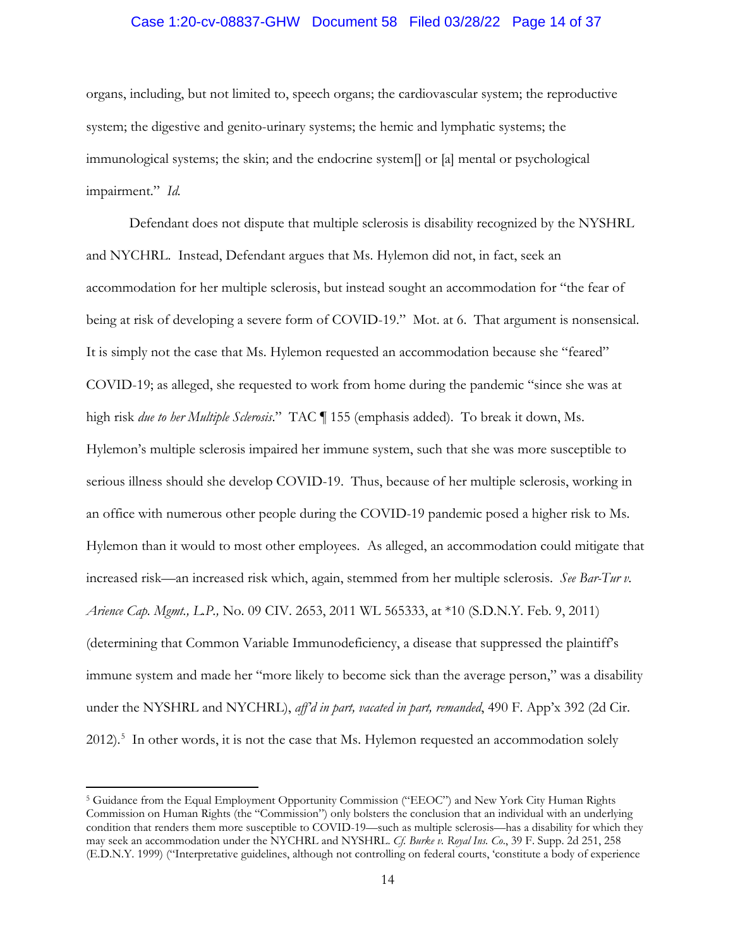## Case 1:20-cv-08837-GHW Document 58 Filed 03/28/22 Page 14 of 37

organs, including, but not limited to, speech organs; the cardiovascular system; the reproductive system; the digestive and genito-urinary systems; the hemic and lymphatic systems; the immunological systems; the skin; and the endocrine system[] or [a] mental or psychological impairment." *Id.*

Defendant does not dispute that multiple sclerosis is disability recognized by the NYSHRL and NYCHRL. Instead, Defendant argues that Ms. Hylemon did not, in fact, seek an accommodation for her multiple sclerosis, but instead sought an accommodation for "the fear of being at risk of developing a severe form of COVID-19." Mot. at 6. That argument is nonsensical. It is simply not the case that Ms. Hylemon requested an accommodation because she "feared" COVID-19; as alleged, she requested to work from home during the pandemic "since she was at high risk *due to her Multiple Sclerosis*." TAC ¶ 155 (emphasis added). To break it down, Ms. Hylemon's multiple sclerosis impaired her immune system, such that she was more susceptible to serious illness should she develop COVID-19. Thus, because of her multiple sclerosis, working in an office with numerous other people during the COVID-19 pandemic posed a higher risk to Ms. Hylemon than it would to most other employees. As alleged, an accommodation could mitigate that increased risk—an increased risk which, again, stemmed from her multiple sclerosis. *See Bar-Tur v. Arience Cap. Mgmt., L.P.,* No. 09 CIV. 2653, 2011 WL 565333, at \*10 (S.D.N.Y. Feb. 9, 2011) (determining that Common Variable Immunodeficiency, a disease that suppressed the plaintiff's immune system and made her "more likely to become sick than the average person," was a disability under the NYSHRL and NYCHRL), *aff'd in part, vacated in part, remanded*, 490 F. App'x 392 (2d Cir. 2012).<sup>5</sup> In other words, it is not the case that Ms. Hylemon requested an accommodation solely

<sup>5</sup> Guidance from the Equal Employment Opportunity Commission ("EEOC") and New York City Human Rights Commission on Human Rights (the "Commission") only bolsters the conclusion that an individual with an underlying condition that renders them more susceptible to COVID-19—such as multiple sclerosis—has a disability for which they may seek an accommodation under the NYCHRL and NYSHRL. *Cf. Burke v. Royal Ins. Co*., 39 F. Supp. 2d 251, 258 (E.D.N.Y. 1999) ("Interpretative guidelines, although not controlling on federal courts, 'constitute a body of experience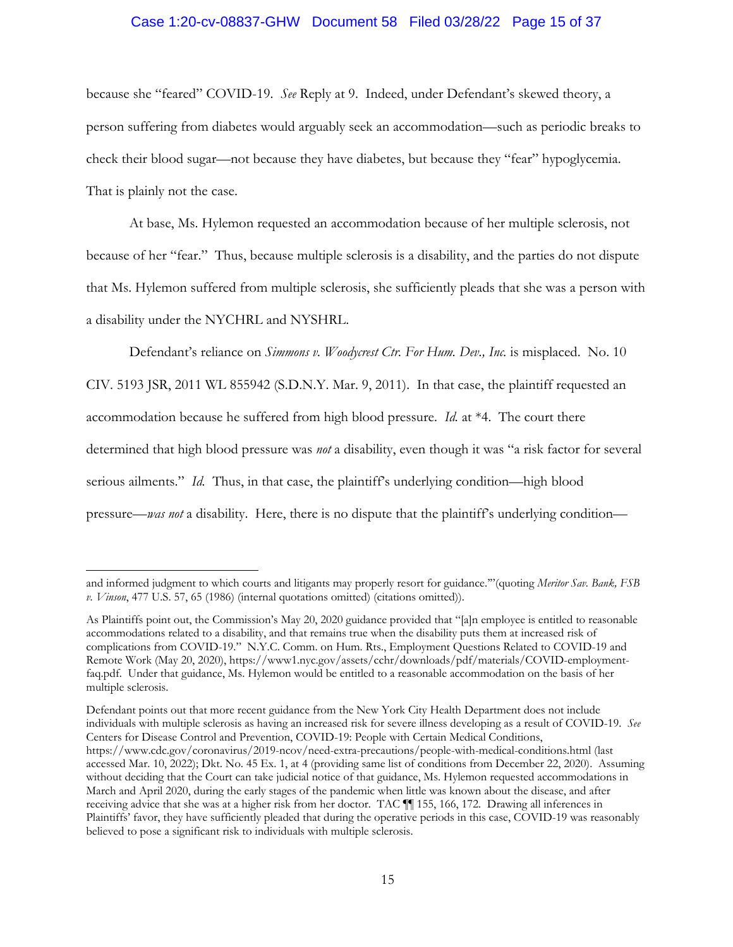## Case 1:20-cv-08837-GHW Document 58 Filed 03/28/22 Page 15 of 37

because she "feared" COVID-19. *See* Reply at 9. Indeed, under Defendant's skewed theory, a person suffering from diabetes would arguably seek an accommodation—such as periodic breaks to check their blood sugar—not because they have diabetes, but because they "fear" hypoglycemia. That is plainly not the case.

At base, Ms. Hylemon requested an accommodation because of her multiple sclerosis, not because of her "fear." Thus, because multiple sclerosis is a disability, and the parties do not dispute that Ms. Hylemon suffered from multiple sclerosis, she sufficiently pleads that she was a person with a disability under the NYCHRL and NYSHRL.

Defendant's reliance on *Simmons v. Woodycrest Ctr. For Hum. Dev., Inc.* is misplaced. No. 10 CIV. 5193 JSR, 2011 WL 855942 (S.D.N.Y. Mar. 9, 2011). In that case, the plaintiff requested an accommodation because he suffered from high blood pressure. *Id.* at \*4. The court there determined that high blood pressure was *not* a disability, even though it was "a risk factor for several serious ailments." *Id.* Thus, in that case, the plaintiff's underlying condition—high blood pressure—*was not* a disability. Here, there is no dispute that the plaintiff's underlying condition—

Defendant points out that more recent guidance from the New York City Health Department does not include individuals with multiple sclerosis as having an increased risk for severe illness developing as a result of COVID-19. *See*  Centers for Disease Control and Prevention, COVID-19: People with Certain Medical Conditions, https://www.cdc.gov/coronavirus/2019-ncov/need-extra-precautions/people-with-medical-conditions.html (last accessed Mar. 10, 2022); Dkt. No. 45 Ex. 1, at 4 (providing same list of conditions from December 22, 2020). Assuming without deciding that the Court can take judicial notice of that guidance, Ms. Hylemon requested accommodations in March and April 2020, during the early stages of the pandemic when little was known about the disease, and after receiving advice that she was at a higher risk from her doctor. TAC ¶¶ 155, 166, 172. Drawing all inferences in Plaintiffs' favor, they have sufficiently pleaded that during the operative periods in this case, COVID-19 was reasonably believed to pose a significant risk to individuals with multiple sclerosis.

and informed judgment to which courts and litigants may properly resort for guidance.'"(quoting *Meritor Sav. Bank, FSB v. Vinson*, 477 U.S. 57, 65 (1986) (internal quotations omitted) (citations omitted)).

As Plaintiffs point out, the Commission's May 20, 2020 guidance provided that "[a]n employee is entitled to reasonable accommodations related to a disability, and that remains true when the disability puts them at increased risk of complications from COVID-19." N.Y.C. Comm. on Hum. Rts., Employment Questions Related to COVID-19 and Remote Work (May 20, 2020), https://www1.nyc.gov/assets/cchr/downloads/pdf/materials/COVID-employmentfaq.pdf. Under that guidance, Ms. Hylemon would be entitled to a reasonable accommodation on the basis of her multiple sclerosis.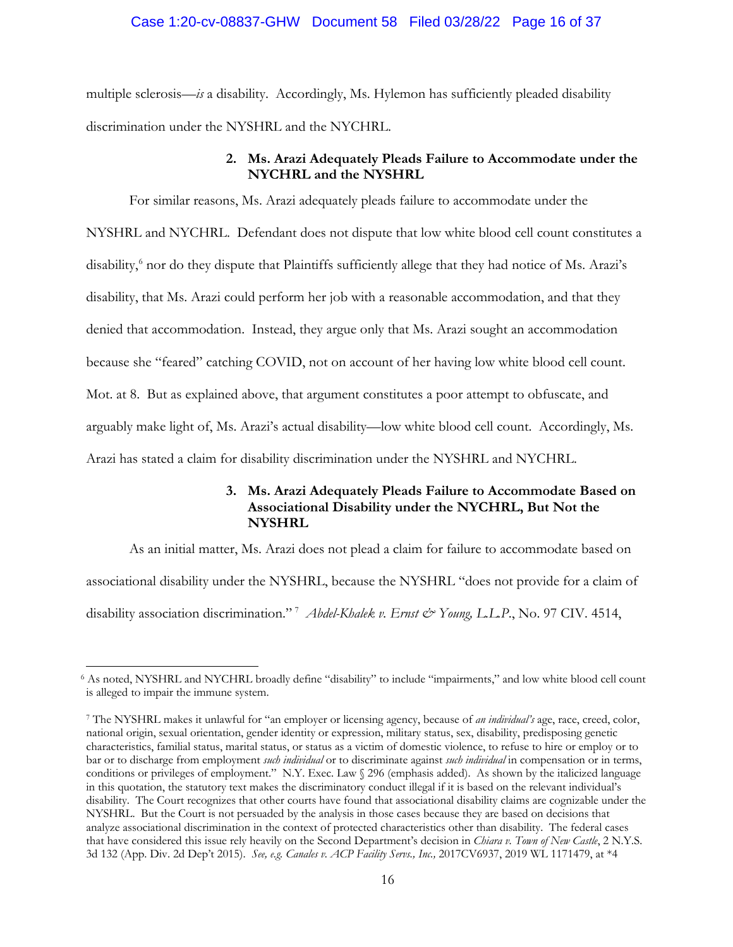## Case 1:20-cv-08837-GHW Document 58 Filed 03/28/22 Page 16 of 37

multiple sclerosis—*is* a disability. Accordingly, Ms. Hylemon has sufficiently pleaded disability discrimination under the NYSHRL and the NYCHRL.

## **2. Ms. Arazi Adequately Pleads Failure to Accommodate under the NYCHRL and the NYSHRL**

For similar reasons, Ms. Arazi adequately pleads failure to accommodate under the NYSHRL and NYCHRL. Defendant does not dispute that low white blood cell count constitutes a disability,<sup>6</sup> nor do they dispute that Plaintiffs sufficiently allege that they had notice of Ms. Arazi's disability, that Ms. Arazi could perform her job with a reasonable accommodation, and that they denied that accommodation. Instead, they argue only that Ms. Arazi sought an accommodation because she "feared" catching COVID, not on account of her having low white blood cell count. Mot. at 8. But as explained above, that argument constitutes a poor attempt to obfuscate, and arguably make light of, Ms. Arazi's actual disability—low white blood cell count. Accordingly, Ms. Arazi has stated a claim for disability discrimination under the NYSHRL and NYCHRL.

## **3. Ms. Arazi Adequately Pleads Failure to Accommodate Based on Associational Disability under the NYCHRL, But Not the NYSHRL**

As an initial matter, Ms. Arazi does not plead a claim for failure to accommodate based on associational disability under the NYSHRL, because the NYSHRL "does not provide for a claim of disability association discrimination." <sup>7</sup> *Abdel-Khalek v. Ernst & Young, L.L.P*., No. 97 CIV. 4514,

<sup>6</sup> As noted, NYSHRL and NYCHRL broadly define "disability" to include "impairments," and low white blood cell count is alleged to impair the immune system.

<sup>7</sup> The NYSHRL makes it unlawful for "an employer or licensing agency, because of *an individual's* age, race, creed, color, national origin, sexual orientation, gender identity or expression, military status, sex, disability, predisposing genetic characteristics, familial status, marital status, or status as a victim of domestic violence, to refuse to hire or employ or to bar or to discharge from employment *such individual* or to discriminate against *such individual* in compensation or in terms, conditions or privileges of employment." N.Y. Exec. Law § 296 (emphasis added). As shown by the italicized language in this quotation, the statutory text makes the discriminatory conduct illegal if it is based on the relevant individual's disability. The Court recognizes that other courts have found that associational disability claims are cognizable under the NYSHRL. But the Court is not persuaded by the analysis in those cases because they are based on decisions that analyze associational discrimination in the context of protected characteristics other than disability. The federal cases that have considered this issue rely heavily on the Second Department's decision in *Chiara v. Town of New Castle*, 2 N.Y.S. 3d 132 (App. Div. 2d Dep't 2015). *See, e.g. Canales v. ACP Facility Servs., Inc.,* 2017CV6937, 2019 WL 1171479, at \*4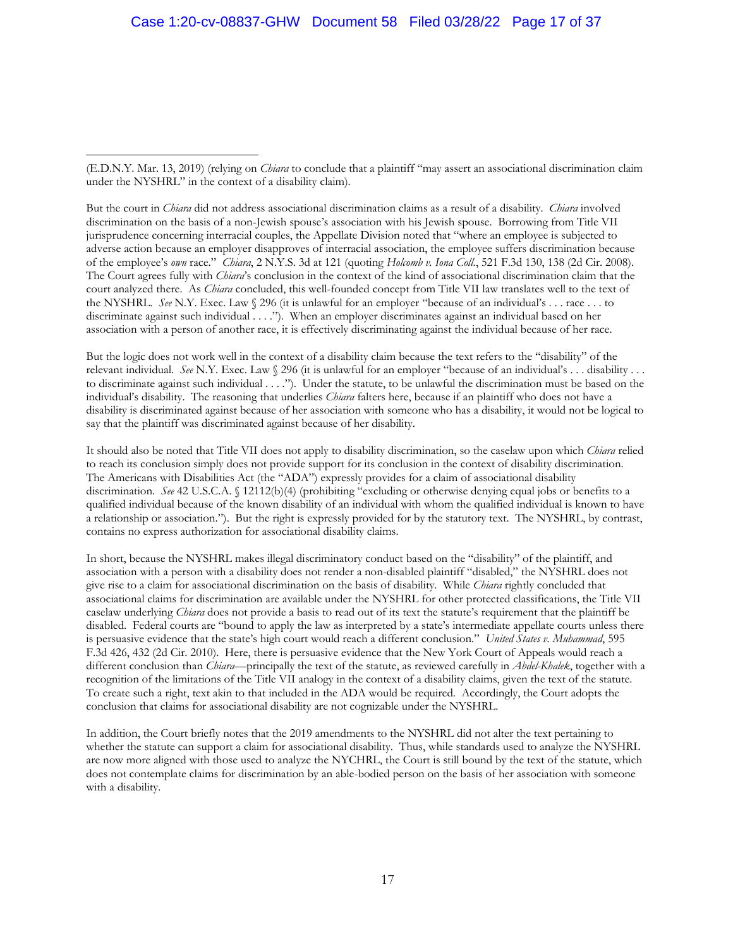But the court in *Chiara* did not address associational discrimination claims as a result of a disability. *Chiara* involved discrimination on the basis of a non-Jewish spouse's association with his Jewish spouse. Borrowing from Title VII jurisprudence concerning interracial couples, the Appellate Division noted that "where an employee is subjected to adverse action because an employer disapproves of interracial association, the employee suffers discrimination because of the employee's *own* race." *Chiara*, 2 N.Y.S. 3d at 121 (quoting *Holcomb v. Iona Coll.*, 521 F.3d 130, 138 (2d Cir. 2008). The Court agrees fully with *Chiara*'s conclusion in the context of the kind of associational discrimination claim that the court analyzed there. As *Chiara* concluded, this well-founded concept from Title VII law translates well to the text of the NYSHRL. *See* N.Y. Exec. Law § 296 (it is unlawful for an employer "because of an individual's . . . race . . . to discriminate against such individual . . . ."). When an employer discriminates against an individual based on her association with a person of another race, it is effectively discriminating against the individual because of her race.

But the logic does not work well in the context of a disability claim because the text refers to the "disability" of the relevant individual. *See* N.Y. Exec. Law § 296 (it is unlawful for an employer "because of an individual's . . . disability . . . to discriminate against such individual . . . ."). Under the statute, to be unlawful the discrimination must be based on the individual's disability. The reasoning that underlies *Chiara* falters here, because if an plaintiff who does not have a disability is discriminated against because of her association with someone who has a disability, it would not be logical to say that the plaintiff was discriminated against because of her disability.

It should also be noted that Title VII does not apply to disability discrimination, so the caselaw upon which *Chiara* relied to reach its conclusion simply does not provide support for its conclusion in the context of disability discrimination. The Americans with Disabilities Act (the "ADA") expressly provides for a claim of associational disability discrimination. *See* 42 U.S.C.A. § 12112(b)(4) (prohibiting "excluding or otherwise denying equal jobs or benefits to a qualified individual because of the known disability of an individual with whom the qualified individual is known to have a relationship or association."). But the right is expressly provided for by the statutory text. The NYSHRL, by contrast, contains no express authorization for associational disability claims.

In short, because the NYSHRL makes illegal discriminatory conduct based on the "disability" of the plaintiff, and association with a person with a disability does not render a non-disabled plaintiff "disabled," the NYSHRL does not give rise to a claim for associational discrimination on the basis of disability. While *Chiara* rightly concluded that associational claims for discrimination are available under the NYSHRL for other protected classifications, the Title VII caselaw underlying *Chiara* does not provide a basis to read out of its text the statute's requirement that the plaintiff be disabled. Federal courts are "bound to apply the law as interpreted by a state's intermediate appellate courts unless there is persuasive evidence that the state's high court would reach a different conclusion." *United States v. Muhammad*, 595 F.3d 426, 432 (2d Cir. 2010). Here, there is persuasive evidence that the New York Court of Appeals would reach a different conclusion than *Chiara*—principally the text of the statute, as reviewed carefully in *Abdel-Khalek*, together with a recognition of the limitations of the Title VII analogy in the context of a disability claims, given the text of the statute. To create such a right, text akin to that included in the ADA would be required. Accordingly, the Court adopts the conclusion that claims for associational disability are not cognizable under the NYSHRL.

In addition, the Court briefly notes that the 2019 amendments to the NYSHRL did not alter the text pertaining to whether the statute can support a claim for associational disability. Thus, while standards used to analyze the NYSHRL are now more aligned with those used to analyze the NYCHRL, the Court is still bound by the text of the statute, which does not contemplate claims for discrimination by an able-bodied person on the basis of her association with someone with a disability.

<sup>(</sup>E.D.N.Y. Mar. 13, 2019) (relying on *Chiara* to conclude that a plaintiff "may assert an associational discrimination claim under the NYSHRL" in the context of a disability claim).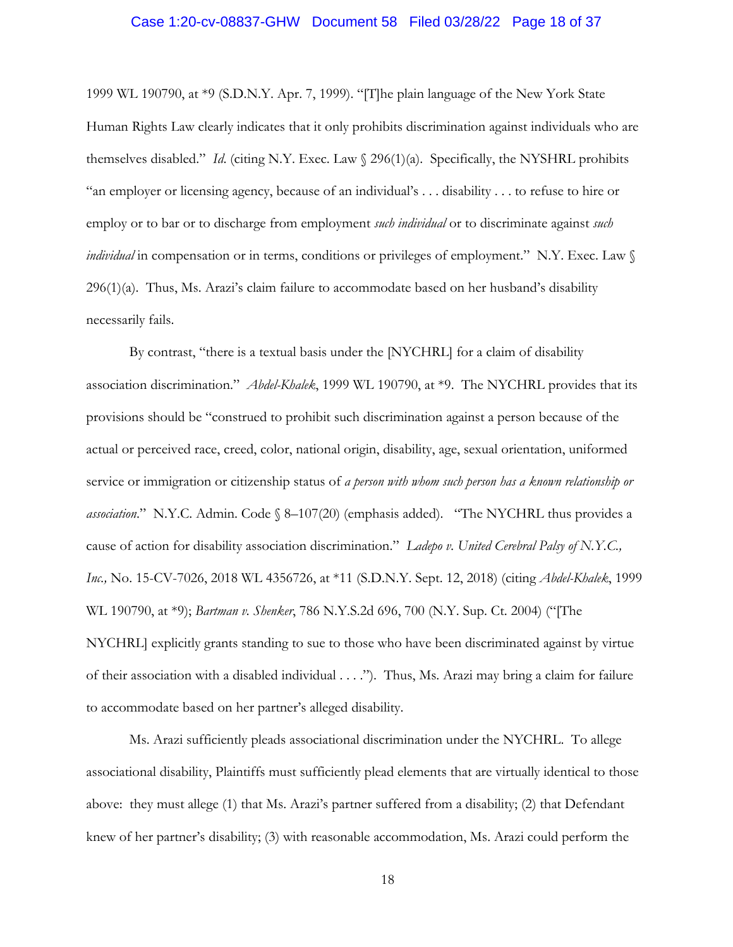### Case 1:20-cv-08837-GHW Document 58 Filed 03/28/22 Page 18 of 37

1999 WL 190790, at \*9 (S.D.N.Y. Apr. 7, 1999). "[T]he plain language of the New York State Human Rights Law clearly indicates that it only prohibits discrimination against individuals who are themselves disabled." *Id*. (citing N.Y. Exec. Law § 296(1)(a). Specifically, the NYSHRL prohibits "an employer or licensing agency, because of an individual's . . . disability . . . to refuse to hire or employ or to bar or to discharge from employment *such individual* or to discriminate against *such individual* in compensation or in terms, conditions or privileges of employment." N.Y. Exec. Law §  $296(1)(a)$ . Thus, Ms. Arazi's claim failure to accommodate based on her husband's disability necessarily fails.

By contrast, "there is a textual basis under the [NYCHRL] for a claim of disability association discrimination." *Abdel-Khalek*, 1999 WL 190790, at \*9. The NYCHRL provides that its provisions should be "construed to prohibit such discrimination against a person because of the actual or perceived race, creed, color, national origin, disability, age, sexual orientation, uniformed service or immigration or citizenship status of *a person with whom such person has a known relationship or association*." N.Y.C. Admin. Code § 8–107(20) (emphasis added). "The NYCHRL thus provides a cause of action for disability association discrimination." *Ladepo v. United Cerebral Palsy of N.Y.C., Inc.,* No. 15-CV-7026, 2018 WL 4356726, at \*11 (S.D.N.Y. Sept. 12, 2018) (citing *Abdel-Khalek*, 1999 WL 190790, at \*9); *Bartman v. Shenker*, 786 N.Y.S.2d 696, 700 (N.Y. Sup. Ct. 2004) ("[The NYCHRL] explicitly grants standing to sue to those who have been discriminated against by virtue of their association with a disabled individual . . . ."). Thus, Ms. Arazi may bring a claim for failure to accommodate based on her partner's alleged disability.

Ms. Arazi sufficiently pleads associational discrimination under the NYCHRL. To allege associational disability, Plaintiffs must sufficiently plead elements that are virtually identical to those above: they must allege (1) that Ms. Arazi's partner suffered from a disability; (2) that Defendant knew of her partner's disability; (3) with reasonable accommodation, Ms. Arazi could perform the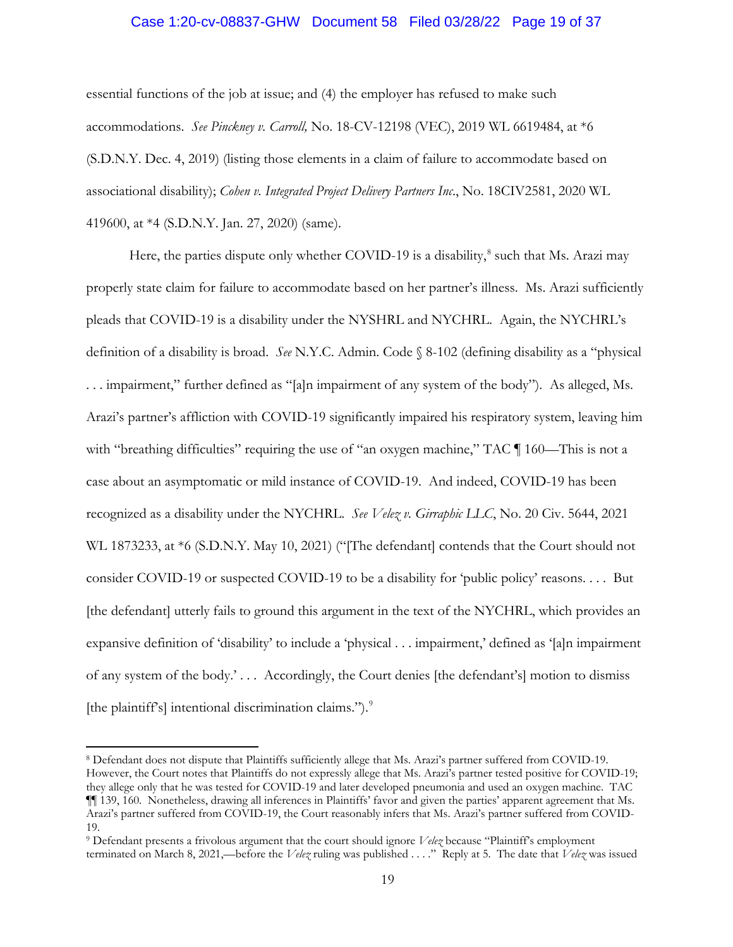## Case 1:20-cv-08837-GHW Document 58 Filed 03/28/22 Page 19 of 37

essential functions of the job at issue; and (4) the employer has refused to make such accommodations. *See Pinckney v. Carroll,* No. 18-CV-12198 (VEC), 2019 WL 6619484, at \*6 (S.D.N.Y. Dec. 4, 2019) (listing those elements in a claim of failure to accommodate based on associational disability); *Cohen v. Integrated Project Delivery Partners Inc*., No. 18CIV2581, 2020 WL 419600, at \*4 (S.D.N.Y. Jan. 27, 2020) (same).

Here, the parties dispute only whether COVID-19 is a disability, $\delta$  such that Ms. Arazi may properly state claim for failure to accommodate based on her partner's illness. Ms. Arazi sufficiently pleads that COVID-19 is a disability under the NYSHRL and NYCHRL. Again, the NYCHRL's definition of a disability is broad. *See* N.Y.C. Admin. Code § 8-102 (defining disability as a "physical . . . impairment," further defined as "[a]n impairment of any system of the body"). As alleged, Ms. Arazi's partner's affliction with COVID-19 significantly impaired his respiratory system, leaving him with "breathing difficulties" requiring the use of "an oxygen machine," TAC  $\P$  160—This is not a case about an asymptomatic or mild instance of COVID-19. And indeed, COVID-19 has been recognized as a disability under the NYCHRL. *See Velez v. Girraphic LLC*, No. 20 Civ. 5644, 2021 WL 1873233, at \*6 (S.D.N.Y. May 10, 2021) ("[The defendant] contends that the Court should not consider COVID-19 or suspected COVID-19 to be a disability for 'public policy' reasons. . . . But [the defendant] utterly fails to ground this argument in the text of the NYCHRL, which provides an expansive definition of 'disability' to include a 'physical . . . impairment,' defined as '[a]n impairment of any system of the body.' . . . Accordingly, the Court denies [the defendant's] motion to dismiss [the plaintiff's] intentional discrimination claims.").<sup>9</sup>

<sup>8</sup> Defendant does not dispute that Plaintiffs sufficiently allege that Ms. Arazi's partner suffered from COVID-19. However, the Court notes that Plaintiffs do not expressly allege that Ms. Arazi's partner tested positive for COVID-19; they allege only that he was tested for COVID-19 and later developed pneumonia and used an oxygen machine. TAC ¶¶ 139, 160. Nonetheless, drawing all inferences in Plaintiffs' favor and given the parties' apparent agreement that Ms. Arazi's partner suffered from COVID-19, the Court reasonably infers that Ms. Arazi's partner suffered from COVID-19.

<sup>9</sup> Defendant presents a frivolous argument that the court should ignore *Velez* because "Plaintiff's employment terminated on March 8, 2021,—before the *Velez* ruling was published . . . ." Reply at 5. The date that *Velez* was issued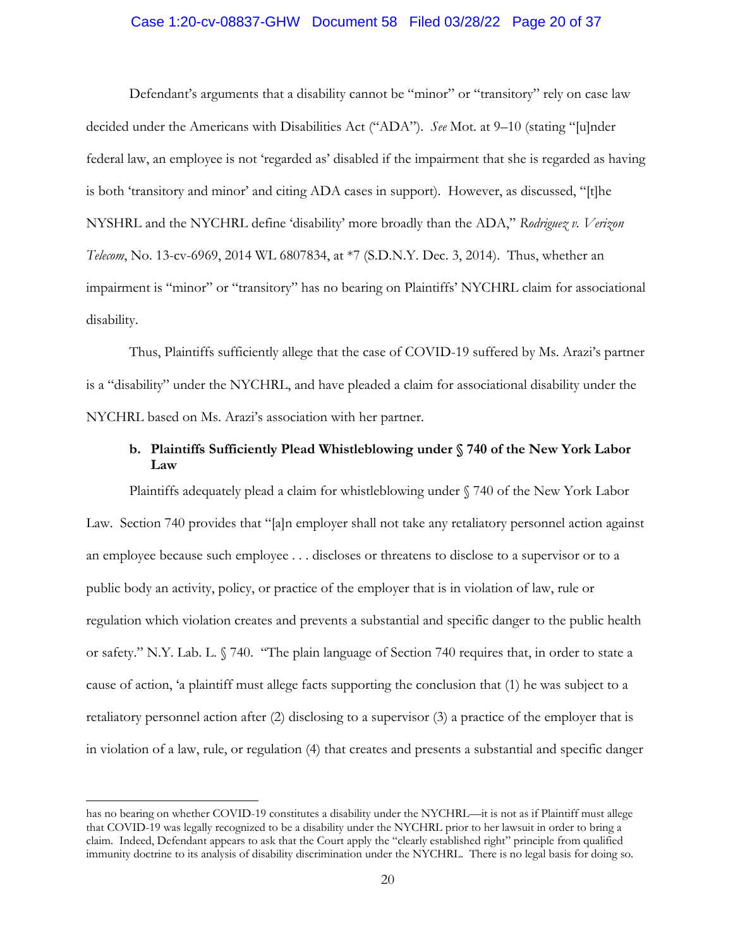## Case 1:20-cv-08837-GHW Document 58 Filed 03/28/22 Page 20 of 37

Defendant's arguments that a disability cannot be "minor" or "transitory" rely on case law decided under the Americans with Disabilities Act ("ADA"). *See* Mot. at 9–10 (stating "[u]nder federal law, an employee is not 'regarded as' disabled if the impairment that she is regarded as having is both 'transitory and minor' and citing ADA cases in support). However, as discussed, "[t]he NYSHRL and the NYCHRL define 'disability' more broadly than the ADA," *Rodriguez v. Verizon Telecom*, No. 13-cv-6969, 2014 WL 6807834, at \*7 (S.D.N.Y. Dec. 3, 2014). Thus, whether an impairment is "minor" or "transitory" has no bearing on Plaintiffs' NYCHRL claim for associational disability.

Thus, Plaintiffs sufficiently allege that the case of COVID-19 suffered by Ms. Arazi's partner is a "disability" under the NYCHRL, and have pleaded a claim for associational disability under the NYCHRL based on Ms. Arazi's association with her partner.

# **b. Plaintiffs Sufficiently Plead Whistleblowing under § 740 of the New York Labor Law**

Plaintiffs adequately plead a claim for whistleblowing under § 740 of the New York Labor Law. Section 740 provides that "[a]n employer shall not take any retaliatory personnel action against an employee because such employee . . . discloses or threatens to disclose to a supervisor or to a public body an activity, policy, or practice of the employer that is in violation of law, rule or regulation which violation creates and prevents a substantial and specific danger to the public health or safety." N.Y. Lab. L. § 740. "The plain language of Section 740 requires that, in order to state a cause of action, 'a plaintiff must allege facts supporting the conclusion that (1) he was subject to a retaliatory personnel action after (2) disclosing to a supervisor (3) a practice of the employer that is in violation of a law, rule, or regulation (4) that creates and presents a substantial and specific danger

has no bearing on whether COVID-19 constitutes a disability under the NYCHRL—it is not as if Plaintiff must allege that COVID-19 was legally recognized to be a disability under the NYCHRL prior to her lawsuit in order to bring a claim. Indeed, Defendant appears to ask that the Court apply the "clearly established right" principle from qualified immunity doctrine to its analysis of disability discrimination under the NYCHRL. There is no legal basis for doing so.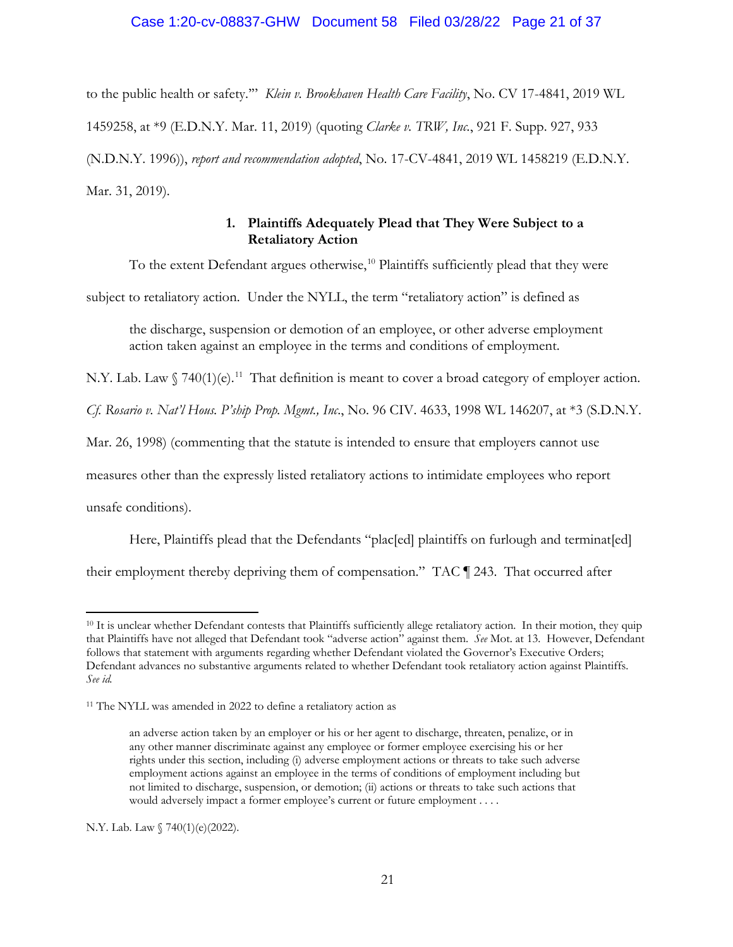## Case 1:20-cv-08837-GHW Document 58 Filed 03/28/22 Page 21 of 37

to the public health or safety.'" *Klein v. Brookhaven Health Care Facility*, No. CV 17-4841, 2019 WL 1459258, at \*9 (E.D.N.Y. Mar. 11, 2019) (quoting *Clarke v. TRW, Inc.*, 921 F. Supp. 927, 933 (N.D.N.Y. 1996)), *report and recommendation adopted*, No. 17-CV-4841, 2019 WL 1458219 (E.D.N.Y. Mar. 31, 2019).

# **1. Plaintiffs Adequately Plead that They Were Subject to a Retaliatory Action**

To the extent Defendant argues otherwise,<sup>10</sup> Plaintiffs sufficiently plead that they were

subject to retaliatory action. Under the NYLL, the term "retaliatory action" is defined as

the discharge, suspension or demotion of an employee, or other adverse employment action taken against an employee in the terms and conditions of employment.

N.Y. Lab. Law  $\int 740(1)(e)^{11}$  That definition is meant to cover a broad category of employer action.

*Cf. Rosario v. Nat'l Hous. P'ship Prop. Mgmt., Inc*., No. 96 CIV. 4633, 1998 WL 146207, at \*3 (S.D.N.Y.

Mar. 26, 1998) (commenting that the statute is intended to ensure that employers cannot use

measures other than the expressly listed retaliatory actions to intimidate employees who report

unsafe conditions).

Here, Plaintiffs plead that the Defendants "plac[ed] plaintiffs on furlough and terminat[ed]

their employment thereby depriving them of compensation." TAC ¶ 243. That occurred after

N.Y. Lab. Law § 740(1)(e)(2022).

<sup>&</sup>lt;sup>10</sup> It is unclear whether Defendant contests that Plaintiffs sufficiently allege retaliatory action. In their motion, they quip that Plaintiffs have not alleged that Defendant took "adverse action" against them. *See* Mot. at 13. However, Defendant follows that statement with arguments regarding whether Defendant violated the Governor's Executive Orders; Defendant advances no substantive arguments related to whether Defendant took retaliatory action against Plaintiffs. *See id.* 

<sup>11</sup> The NYLL was amended in 2022 to define a retaliatory action as

an adverse action taken by an employer or his or her agent to discharge, threaten, penalize, or in any other manner discriminate against any employee or former employee exercising his or her rights under this section, including (i) adverse employment actions or threats to take such adverse employment actions against an employee in the terms of conditions of employment including but not limited to discharge, suspension, or demotion; (ii) actions or threats to take such actions that would adversely impact a former employee's current or future employment . . . .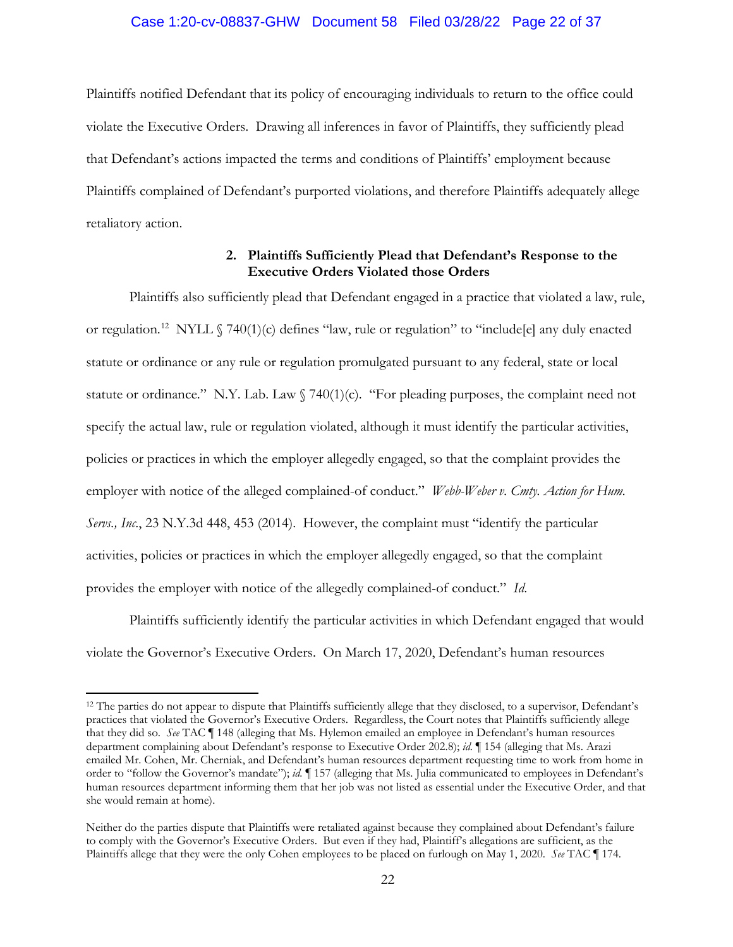### Case 1:20-cv-08837-GHW Document 58 Filed 03/28/22 Page 22 of 37

Plaintiffs notified Defendant that its policy of encouraging individuals to return to the office could violate the Executive Orders. Drawing all inferences in favor of Plaintiffs, they sufficiently plead that Defendant's actions impacted the terms and conditions of Plaintiffs' employment because Plaintiffs complained of Defendant's purported violations, and therefore Plaintiffs adequately allege retaliatory action.

# **2. Plaintiffs Sufficiently Plead that Defendant's Response to the Executive Orders Violated those Orders**

Plaintiffs also sufficiently plead that Defendant engaged in a practice that violated a law, rule, or regulation.<sup>12</sup> NYLL § 740(1)(c) defines "law, rule or regulation" to "include[e] any duly enacted statute or ordinance or any rule or regulation promulgated pursuant to any federal, state or local statute or ordinance." N.Y. Lab. Law § 740(1)(c). "For pleading purposes, the complaint need not specify the actual law, rule or regulation violated, although it must identify the particular activities, policies or practices in which the employer allegedly engaged, so that the complaint provides the employer with notice of the alleged complained-of conduct." *Webb-Weber v. Cmty. Action for Hum. Servs., Inc*., 23 N.Y.3d 448, 453 (2014). However, the complaint must "identify the particular activities, policies or practices in which the employer allegedly engaged, so that the complaint provides the employer with notice of the allegedly complained-of conduct." *Id*.

Plaintiffs sufficiently identify the particular activities in which Defendant engaged that would violate the Governor's Executive Orders. On March 17, 2020, Defendant's human resources

<sup>&</sup>lt;sup>12</sup> The parties do not appear to dispute that Plaintiffs sufficiently allege that they disclosed, to a supervisor, Defendant's practices that violated the Governor's Executive Orders. Regardless, the Court notes that Plaintiffs sufficiently allege that they did so. *See* TAC ¶ 148 (alleging that Ms. Hylemon emailed an employee in Defendant's human resources department complaining about Defendant's response to Executive Order 202.8); *id.* ¶ 154 (alleging that Ms. Arazi emailed Mr. Cohen, Mr. Cherniak, and Defendant's human resources department requesting time to work from home in order to "follow the Governor's mandate"); *id.* ¶ 157 (alleging that Ms. Julia communicated to employees in Defendant's human resources department informing them that her job was not listed as essential under the Executive Order, and that she would remain at home).

Neither do the parties dispute that Plaintiffs were retaliated against because they complained about Defendant's failure to comply with the Governor's Executive Orders. But even if they had, Plaintiff's allegations are sufficient, as the Plaintiffs allege that they were the only Cohen employees to be placed on furlough on May 1, 2020. *See* TAC ¶ 174.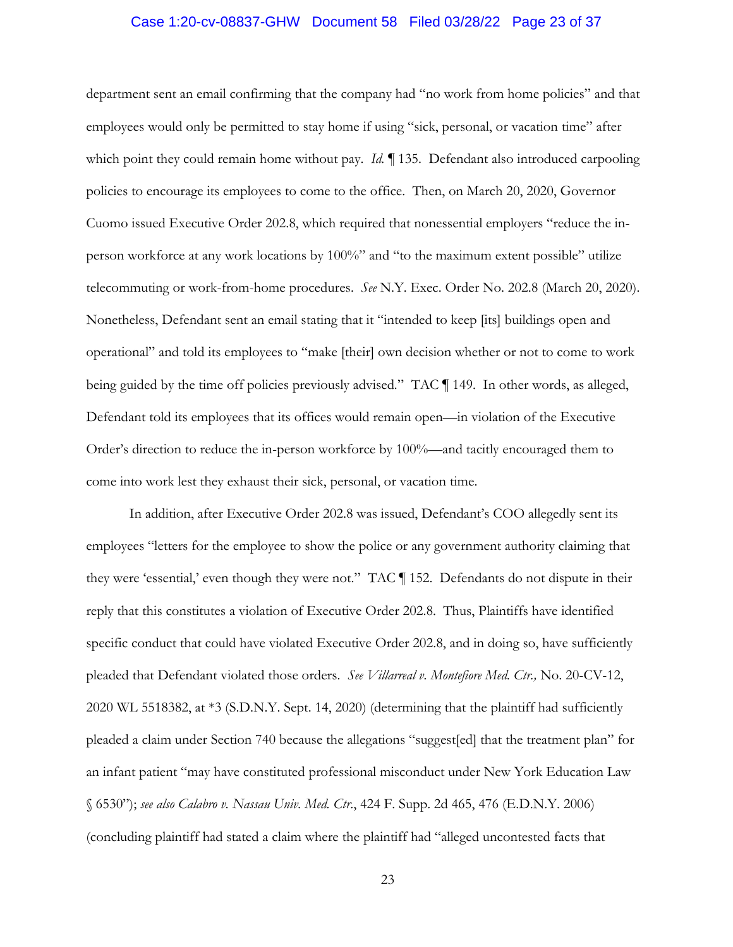## Case 1:20-cv-08837-GHW Document 58 Filed 03/28/22 Page 23 of 37

department sent an email confirming that the company had "no work from home policies" and that employees would only be permitted to stay home if using "sick, personal, or vacation time" after which point they could remain home without pay. *Id.* 135. Defendant also introduced carpooling policies to encourage its employees to come to the office. Then, on March 20, 2020, Governor Cuomo issued Executive Order 202.8, which required that nonessential employers "reduce the inperson workforce at any work locations by 100%" and "to the maximum extent possible" utilize telecommuting or work-from-home procedures. *See* N.Y. Exec. Order No. 202.8 (March 20, 2020). Nonetheless, Defendant sent an email stating that it "intended to keep [its] buildings open and operational" and told its employees to "make [their] own decision whether or not to come to work being guided by the time off policies previously advised*.*" TAC ¶ 149. In other words, as alleged, Defendant told its employees that its offices would remain open—in violation of the Executive Order's direction to reduce the in-person workforce by 100%—and tacitly encouraged them to come into work lest they exhaust their sick, personal, or vacation time.

In addition, after Executive Order 202.8 was issued, Defendant's COO allegedly sent its employees "letters for the employee to show the police or any government authority claiming that they were 'essential,' even though they were not." TAC ¶ 152. Defendants do not dispute in their reply that this constitutes a violation of Executive Order 202.8. Thus, Plaintiffs have identified specific conduct that could have violated Executive Order 202.8, and in doing so, have sufficiently pleaded that Defendant violated those orders. *See Villarreal v. Montefiore Med. Ctr.,* No. 20-CV-12, 2020 WL 5518382, at \*3 (S.D.N.Y. Sept. 14, 2020) (determining that the plaintiff had sufficiently pleaded a claim under Section 740 because the allegations "suggest[ed] that the treatment plan" for an infant patient "may have constituted professional misconduct under New York Education Law § 6530"); *see also Calabro v. Nassau Univ. Med. Ctr*., 424 F. Supp. 2d 465, 476 (E.D.N.Y. 2006) (concluding plaintiff had stated a claim where the plaintiff had "alleged uncontested facts that

23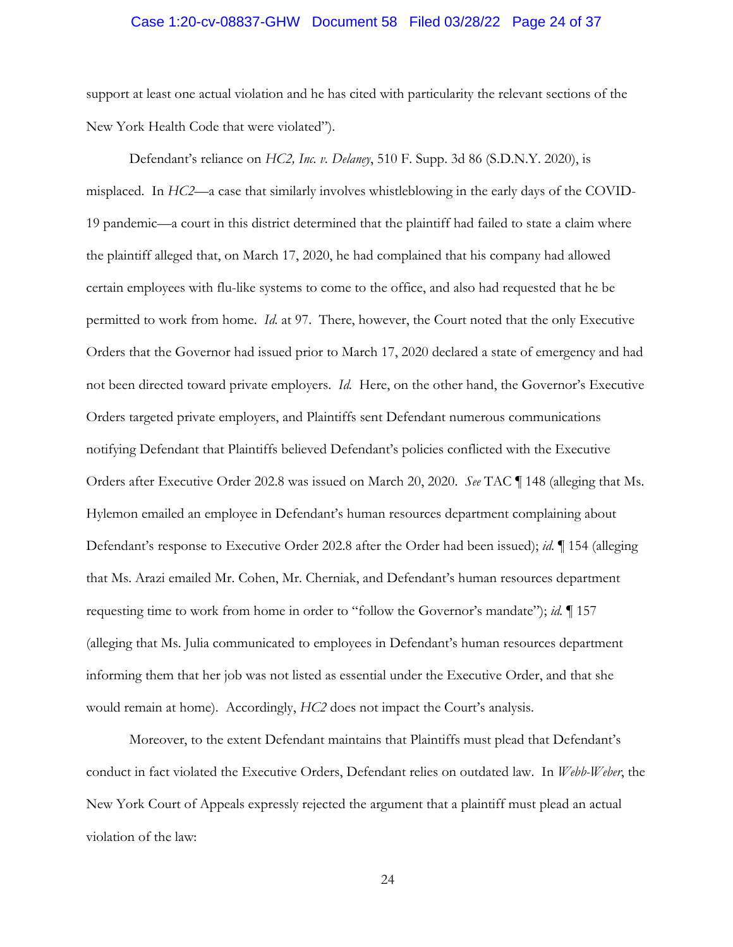## Case 1:20-cv-08837-GHW Document 58 Filed 03/28/22 Page 24 of 37

support at least one actual violation and he has cited with particularity the relevant sections of the New York Health Code that were violated").

Defendant's reliance on *HC2, Inc. v. Delaney*, 510 F. Supp. 3d 86 (S.D.N.Y. 2020), is misplaced. In *HC2*—a case that similarly involves whistleblowing in the early days of the COVID-19 pandemic—a court in this district determined that the plaintiff had failed to state a claim where the plaintiff alleged that, on March 17, 2020, he had complained that his company had allowed certain employees with flu-like systems to come to the office, and also had requested that he be permitted to work from home. *Id.* at 97. There, however, the Court noted that the only Executive Orders that the Governor had issued prior to March 17, 2020 declared a state of emergency and had not been directed toward private employers. *Id.* Here, on the other hand, the Governor's Executive Orders targeted private employers, and Plaintiffs sent Defendant numerous communications notifying Defendant that Plaintiffs believed Defendant's policies conflicted with the Executive Orders after Executive Order 202.8 was issued on March 20, 2020. *See* TAC ¶ 148 (alleging that Ms. Hylemon emailed an employee in Defendant's human resources department complaining about Defendant's response to Executive Order 202.8 after the Order had been issued); *id.* ¶ 154 (alleging that Ms. Arazi emailed Mr. Cohen, Mr. Cherniak, and Defendant's human resources department requesting time to work from home in order to "follow the Governor's mandate"); *id.* ¶ 157 (alleging that Ms. Julia communicated to employees in Defendant's human resources department informing them that her job was not listed as essential under the Executive Order, and that she would remain at home). Accordingly, *HC2* does not impact the Court's analysis.

Moreover, to the extent Defendant maintains that Plaintiffs must plead that Defendant's conduct in fact violated the Executive Orders, Defendant relies on outdated law. In *Webb-Weber*, the New York Court of Appeals expressly rejected the argument that a plaintiff must plead an actual violation of the law: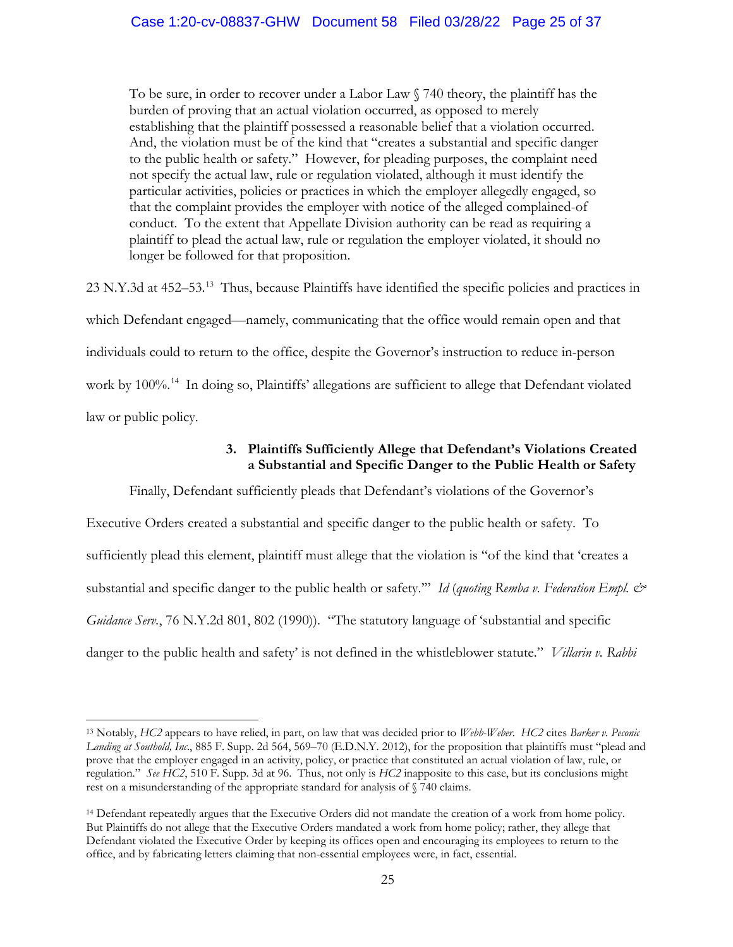To be sure, in order to recover under a Labor Law § 740 theory, the plaintiff has the burden of proving that an actual violation occurred, as opposed to merely establishing that the plaintiff possessed a reasonable belief that a violation occurred. And, the violation must be of the kind that "creates a substantial and specific danger to the public health or safety." However, for pleading purposes, the complaint need not specify the actual law, rule or regulation violated, although it must identify the particular activities, policies or practices in which the employer allegedly engaged, so that the complaint provides the employer with notice of the alleged complained-of conduct. To the extent that Appellate Division authority can be read as requiring a plaintiff to plead the actual law, rule or regulation the employer violated, it should no longer be followed for that proposition.

23 N.Y.3d at 452–53.13 Thus, because Plaintiffs have identified the specific policies and practices in which Defendant engaged—namely, communicating that the office would remain open and that individuals could to return to the office, despite the Governor's instruction to reduce in-person work by 100%.<sup>14</sup> In doing so, Plaintiffs' allegations are sufficient to allege that Defendant violated law or public policy.

# **3. Plaintiffs Sufficiently Allege that Defendant's Violations Created a Substantial and Specific Danger to the Public Health or Safety**

Finally, Defendant sufficiently pleads that Defendant's violations of the Governor's

Executive Orders created a substantial and specific danger to the public health or safety. To sufficiently plead this element, plaintiff must allege that the violation is "of the kind that 'creates a substantial and specific danger to the public health or safety.'" *Id* (*quoting Remba v. Federation Empl. & Guidance Serv.*, 76 N.Y.2d 801, 802 (1990)). "The statutory language of 'substantial and specific danger to the public health and safety' is not defined in the whistleblower statute." *Villarin v. Rabbi* 

<sup>13</sup> Notably, *HC2* appears to have relied, in part, on law that was decided prior to *Webb-Weber*. *HC2* cites *Barker v. Peconic Landing at Southold, Inc*., 885 F. Supp. 2d 564, 569–70 (E.D.N.Y. 2012), for the proposition that plaintiffs must "plead and prove that the employer engaged in an activity, policy, or practice that constituted an actual violation of law, rule, or regulation." *See HC2*, 510 F. Supp. 3d at 96. Thus, not only is *HC2* inapposite to this case, but its conclusions might rest on a misunderstanding of the appropriate standard for analysis of § 740 claims.

<sup>14</sup> Defendant repeatedly argues that the Executive Orders did not mandate the creation of a work from home policy. But Plaintiffs do not allege that the Executive Orders mandated a work from home policy; rather, they allege that Defendant violated the Executive Order by keeping its offices open and encouraging its employees to return to the office, and by fabricating letters claiming that non-essential employees were, in fact, essential.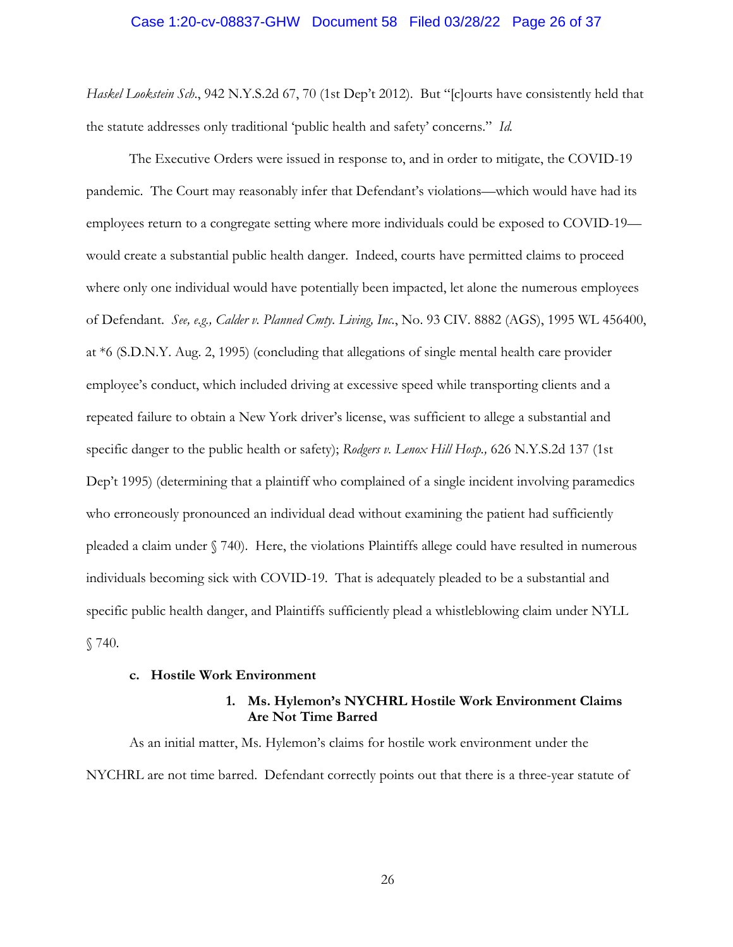### Case 1:20-cv-08837-GHW Document 58 Filed 03/28/22 Page 26 of 37

*Haskel Lookstein Sch*., 942 N.Y.S.2d 67, 70 (1st Dep't 2012). But "[c]ourts have consistently held that the statute addresses only traditional 'public health and safety' concerns." *Id.* 

The Executive Orders were issued in response to, and in order to mitigate, the COVID-19 pandemic. The Court may reasonably infer that Defendant's violations—which would have had its employees return to a congregate setting where more individuals could be exposed to COVID-19 would create a substantial public health danger. Indeed, courts have permitted claims to proceed where only one individual would have potentially been impacted, let alone the numerous employees of Defendant. *See, e.g., Calder v. Planned Cmty. Living, Inc.*, No. 93 CIV. 8882 (AGS), 1995 WL 456400, at \*6 (S.D.N.Y. Aug. 2, 1995) (concluding that allegations of single mental health care provider employee's conduct, which included driving at excessive speed while transporting clients and a repeated failure to obtain a New York driver's license, was sufficient to allege a substantial and specific danger to the public health or safety); *Rodgers v. Lenox Hill Hosp.,* 626 N.Y.S.2d 137 (1st Dep't 1995) (determining that a plaintiff who complained of a single incident involving paramedics who erroneously pronounced an individual dead without examining the patient had sufficiently pleaded a claim under § 740). Here, the violations Plaintiffs allege could have resulted in numerous individuals becoming sick with COVID-19. That is adequately pleaded to be a substantial and specific public health danger, and Plaintiffs sufficiently plead a whistleblowing claim under NYLL § 740.

#### **c. Hostile Work Environment**

## **1. Ms. Hylemon's NYCHRL Hostile Work Environment Claims Are Not Time Barred**

As an initial matter, Ms. Hylemon's claims for hostile work environment under the NYCHRL are not time barred. Defendant correctly points out that there is a three-year statute of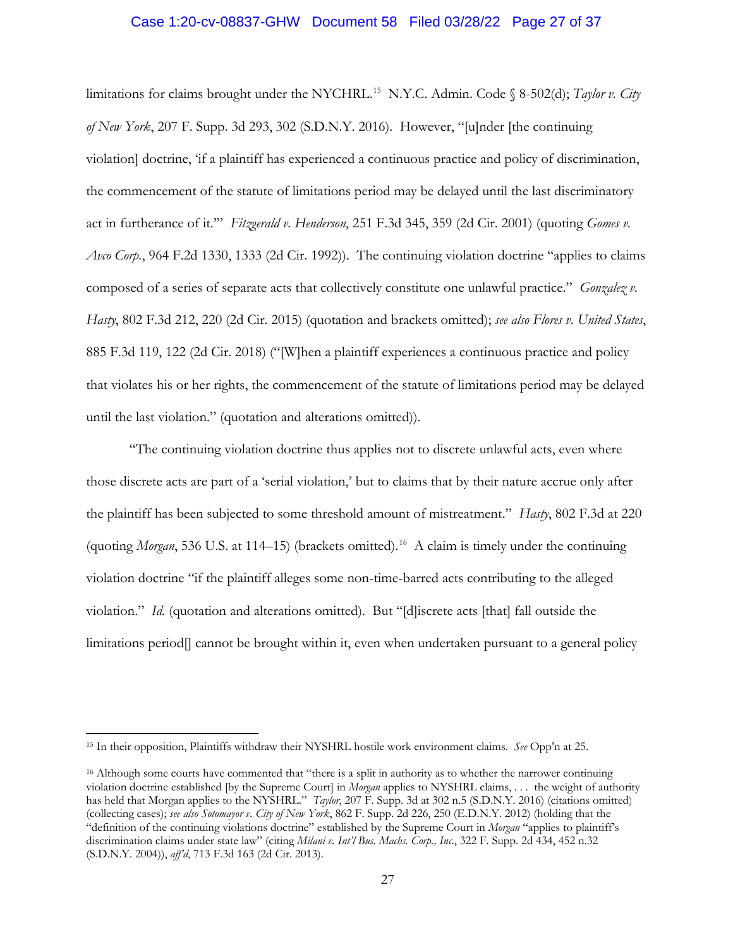### Case 1:20-cv-08837-GHW Document 58 Filed 03/28/22 Page 27 of 37

limitations for claims brought under the NYCHRL.<sup>15</sup> N.Y.C. Admin. Code § 8-502(d); *Taylor v. City of New York*, 207 F. Supp. 3d 293, 302 (S.D.N.Y. 2016). However, "[u]nder [the continuing violation] doctrine, 'if a plaintiff has experienced a continuous practice and policy of discrimination, the commencement of the statute of limitations period may be delayed until the last discriminatory act in furtherance of it.'" *Fitzgerald v. Henderson*, 251 F.3d 345, 359 (2d Cir. 2001) (quoting *Gomes v. Avco Corp.*, 964 F.2d 1330, 1333 (2d Cir. 1992)). The continuing violation doctrine "applies to claims composed of a series of separate acts that collectively constitute one unlawful practice." *Gonzalez v. Hasty*, 802 F.3d 212, 220 (2d Cir. 2015) (quotation and brackets omitted); *see also Flores v. United States*, 885 F.3d 119, 122 (2d Cir. 2018) ("[W]hen a plaintiff experiences a continuous practice and policy that violates his or her rights, the commencement of the statute of limitations period may be delayed until the last violation." (quotation and alterations omitted)).

"The continuing violation doctrine thus applies not to discrete unlawful acts, even where those discrete acts are part of a 'serial violation,' but to claims that by their nature accrue only after the plaintiff has been subjected to some threshold amount of mistreatment." *Hasty*, 802 F.3d at 220 (quoting *Morgan*, 536 U.S. at 114–15) (brackets omitted).<sup>16</sup> A claim is timely under the continuing violation doctrine "if the plaintiff alleges some non-time-barred acts contributing to the alleged violation." *Id.* (quotation and alterations omitted). But "[d]iscrete acts [that] fall outside the limitations period[] cannot be brought within it, even when undertaken pursuant to a general policy

<sup>15</sup> In their opposition, Plaintiffs withdraw their NYSHRL hostile work environment claims. *See* Opp'n at 25.

<sup>&</sup>lt;sup>16</sup> Although some courts have commented that "there is a split in authority as to whether the narrower continuing violation doctrine established [by the Supreme Court] in *Morgan* applies to NYSHRL claims, . . . the weight of authority has held that Morgan applies to the NYSHRL." *Taylor*, 207 F. Supp. 3d at 302 n.5 (S.D.N.Y. 2016) (citations omitted) (collecting cases); *see also Sotomayor v. City of New York*, 862 F. Supp. 2d 226, 250 (E.D.N.Y. 2012) (holding that the "definition of the continuing violations doctrine" established by the Supreme Court in *Morgan* "applies to plaintiff's discrimination claims under state law" (citing *Milani v. Int'l Bus. Machs. Corp., Inc*., 322 F. Supp. 2d 434, 452 n.32 (S.D.N.Y. 2004)), *aff'd*, 713 F.3d 163 (2d Cir. 2013).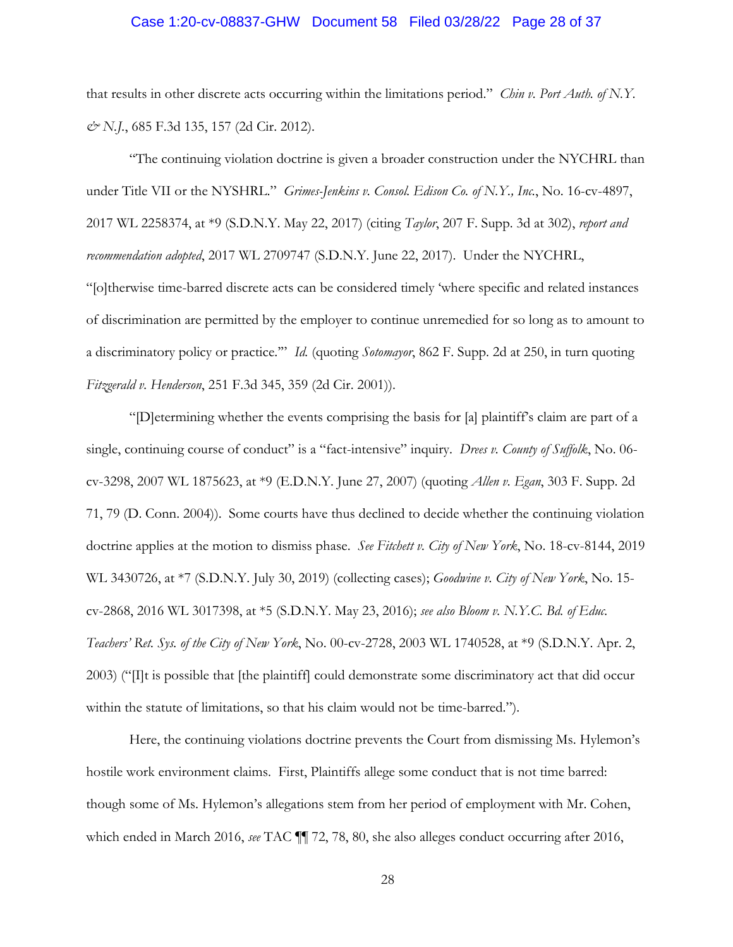### Case 1:20-cv-08837-GHW Document 58 Filed 03/28/22 Page 28 of 37

that results in other discrete acts occurring within the limitations period." *Chin v. Port Auth. of N.Y. & N.J.*, 685 F.3d 135, 157 (2d Cir. 2012).

"The continuing violation doctrine is given a broader construction under the NYCHRL than under Title VII or the NYSHRL." *Grimes-Jenkins v. Consol. Edison Co. of N.Y., Inc.*, No. 16-cv-4897, 2017 WL 2258374, at \*9 (S.D.N.Y. May 22, 2017) (citing *Taylor*, 207 F. Supp. 3d at 302), *report and recommendation adopted*, 2017 WL 2709747 (S.D.N.Y. June 22, 2017). Under the NYCHRL, "[o]therwise time-barred discrete acts can be considered timely 'where specific and related instances of discrimination are permitted by the employer to continue unremedied for so long as to amount to a discriminatory policy or practice.'" *Id.* (quoting *Sotomayor*, 862 F. Supp. 2d at 250, in turn quoting *Fitzgerald v. Henderson*, 251 F.3d 345, 359 (2d Cir. 2001)).

"[D]etermining whether the events comprising the basis for [a] plaintiff's claim are part of a single, continuing course of conduct" is a "fact-intensive" inquiry. *Drees v. County of Suffolk*, No. 06 cv-3298, 2007 WL 1875623, at \*9 (E.D.N.Y. June 27, 2007) (quoting *Allen v. Egan*, 303 F. Supp. 2d 71, 79 (D. Conn. 2004)). Some courts have thus declined to decide whether the continuing violation doctrine applies at the motion to dismiss phase. *See Fitchett v. City of New York*, No. 18-cv-8144, 2019 WL 3430726, at \*7 (S.D.N.Y. July 30, 2019) (collecting cases); *Goodwine v. City of New York*, No. 15 cv-2868, 2016 WL 3017398, at \*5 (S.D.N.Y. May 23, 2016); *see also Bloom v. N.Y.C. Bd. of Educ. Teachers' Ret. Sys. of the City of New York*, No. 00-cv-2728, 2003 WL 1740528, at \*9 (S.D.N.Y. Apr. 2, 2003) ("[I]t is possible that [the plaintiff] could demonstrate some discriminatory act that did occur within the statute of limitations, so that his claim would not be time-barred.").

Here, the continuing violations doctrine prevents the Court from dismissing Ms. Hylemon's hostile work environment claims. First, Plaintiffs allege some conduct that is not time barred: though some of Ms. Hylemon's allegations stem from her period of employment with Mr. Cohen, which ended in March 2016, *see* TAC ¶¶ 72, 78, 80, she also alleges conduct occurring after 2016,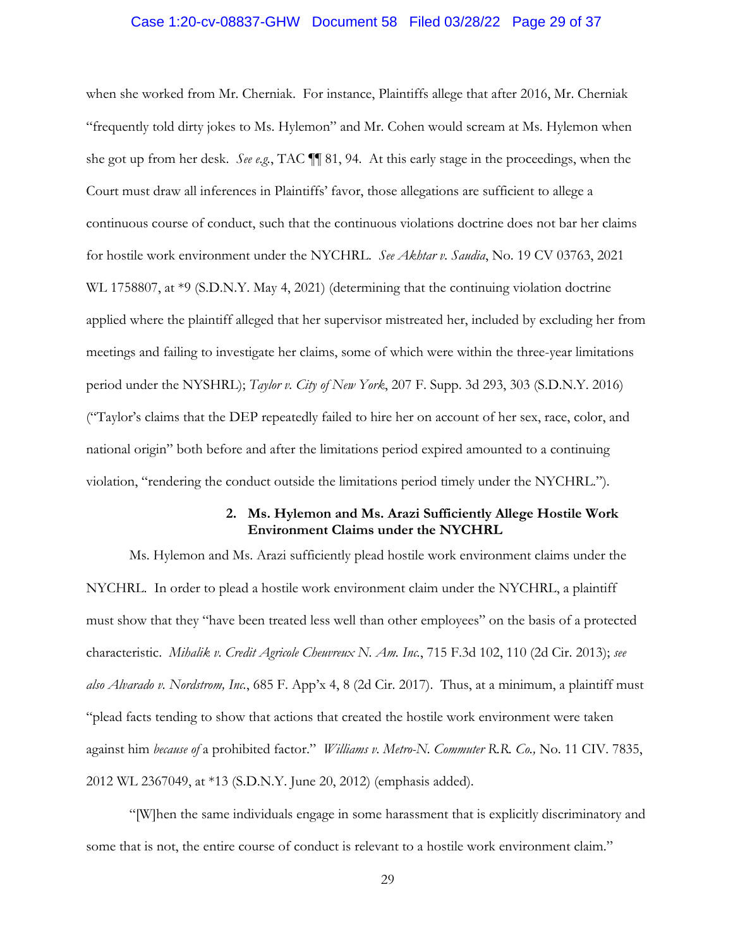# Case 1:20-cv-08837-GHW Document 58 Filed 03/28/22 Page 29 of 37

when she worked from Mr. Cherniak. For instance, Plaintiffs allege that after 2016, Mr. Cherniak "frequently told dirty jokes to Ms. Hylemon" and Mr. Cohen would scream at Ms. Hylemon when she got up from her desk. *See e.g.*, TAC ¶¶ 81, 94. At this early stage in the proceedings, when the Court must draw all inferences in Plaintiffs' favor, those allegations are sufficient to allege a continuous course of conduct, such that the continuous violations doctrine does not bar her claims for hostile work environment under the NYCHRL. *See Akhtar v. Saudia*, No. 19 CV 03763, 2021 WL 1758807, at \*9 (S.D.N.Y. May 4, 2021) (determining that the continuing violation doctrine applied where the plaintiff alleged that her supervisor mistreated her, included by excluding her from meetings and failing to investigate her claims, some of which were within the three-year limitations period under the NYSHRL); *Taylor v. City of New York*, 207 F. Supp. 3d 293, 303 (S.D.N.Y. 2016) ("Taylor's claims that the DEP repeatedly failed to hire her on account of her sex, race, color, and national origin" both before and after the limitations period expired amounted to a continuing violation, "rendering the conduct outside the limitations period timely under the NYCHRL.").

## **2. Ms. Hylemon and Ms. Arazi Sufficiently Allege Hostile Work Environment Claims under the NYCHRL**

Ms. Hylemon and Ms. Arazi sufficiently plead hostile work environment claims under the NYCHRL. In order to plead a hostile work environment claim under the NYCHRL, a plaintiff must show that they "have been treated less well than other employees" on the basis of a protected characteristic. *Mihalik v. Credit Agricole Cheuvreux N. Am. Inc.*, 715 F.3d 102, 110 (2d Cir. 2013); *see also Alvarado v. Nordstrom, Inc.*, 685 F. App'x 4, 8 (2d Cir. 2017). Thus, at a minimum, a plaintiff must "plead facts tending to show that actions that created the hostile work environment were taken against him *because of* a prohibited factor." *Williams v. Metro-N. Commuter R.R. Co.,* No. 11 CIV. 7835, 2012 WL 2367049, at \*13 (S.D.N.Y. June 20, 2012) (emphasis added).

"[W]hen the same individuals engage in some harassment that is explicitly discriminatory and some that is not, the entire course of conduct is relevant to a hostile work environment claim."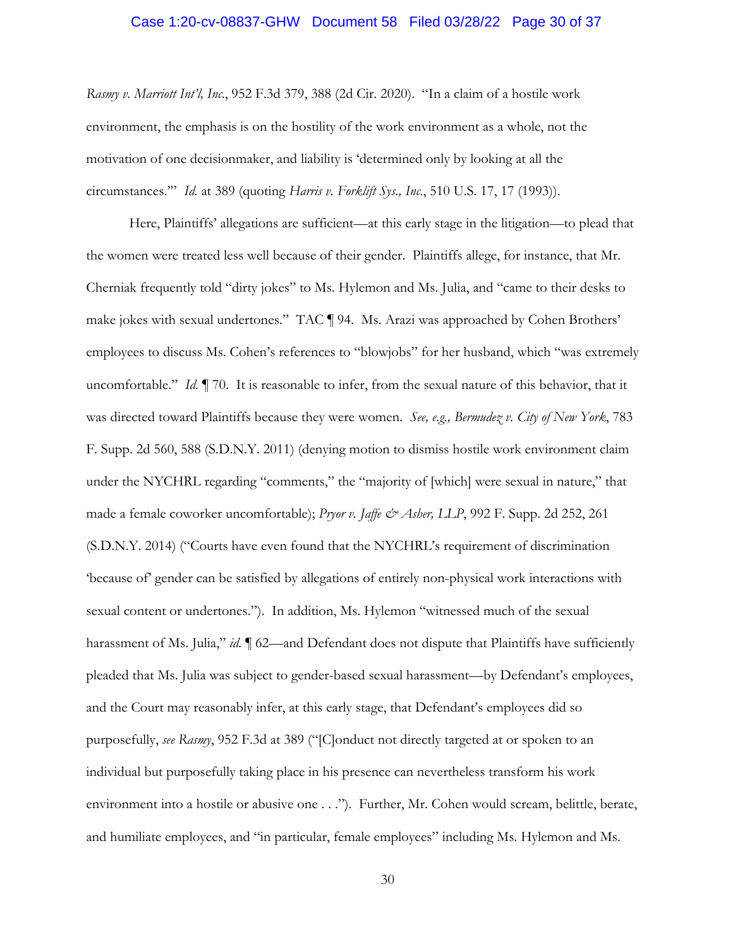### Case 1:20-cv-08837-GHW Document 58 Filed 03/28/22 Page 30 of 37

*Rasmy v. Marriott Int'l, Inc*., 952 F.3d 379, 388 (2d Cir. 2020). "In a claim of a hostile work environment, the emphasis is on the hostility of the work environment as a whole, not the motivation of one decisionmaker, and liability is 'determined only by looking at all the circumstances.'" *Id.* at 389 (quoting *Harris v. Forklift Sys., Inc*., 510 U.S. 17, 17 (1993)).

Here, Plaintiffs' allegations are sufficient—at this early stage in the litigation—to plead that the women were treated less well because of their gender. Plaintiffs allege, for instance, that Mr. Cherniak frequently told "dirty jokes" to Ms. Hylemon and Ms. Julia, and "came to their desks to make jokes with sexual undertones." TAC ¶ 94. Ms. Arazi was approached by Cohen Brothers' employees to discuss Ms. Cohen's references to "blowjobs" for her husband, which "was extremely uncomfortable." *Id.* ¶ 70. It is reasonable to infer, from the sexual nature of this behavior, that it was directed toward Plaintiffs because they were women. *See, e.g., Bermudez v. City of New York*, 783 F. Supp. 2d 560, 588 (S.D.N.Y. 2011) (denying motion to dismiss hostile work environment claim under the NYCHRL regarding "comments," the "majority of [which] were sexual in nature," that made a female coworker uncomfortable); *Pryor v. Jaffe & Asher*, LLP, 992 F. Supp. 2d 252, 261 (S.D.N.Y. 2014) ("Courts have even found that the NYCHRL's requirement of discrimination 'because of' gender can be satisfied by allegations of entirely non-physical work interactions with sexual content or undertones."). In addition, Ms. Hylemon "witnessed much of the sexual harassment of Ms. Julia," *id.*  $\parallel$  62—and Defendant does not dispute that Plaintiffs have sufficiently pleaded that Ms. Julia was subject to gender-based sexual harassment—by Defendant's employees, and the Court may reasonably infer, at this early stage, that Defendant's employees did so purposefully, *see Rasmy*, 952 F.3d at 389 ("[C]onduct not directly targeted at or spoken to an individual but purposefully taking place in his presence can nevertheless transform his work environment into a hostile or abusive one . . ."). Further, Mr. Cohen would scream, belittle, berate, and humiliate employees, and "in particular, female employees" including Ms. Hylemon and Ms.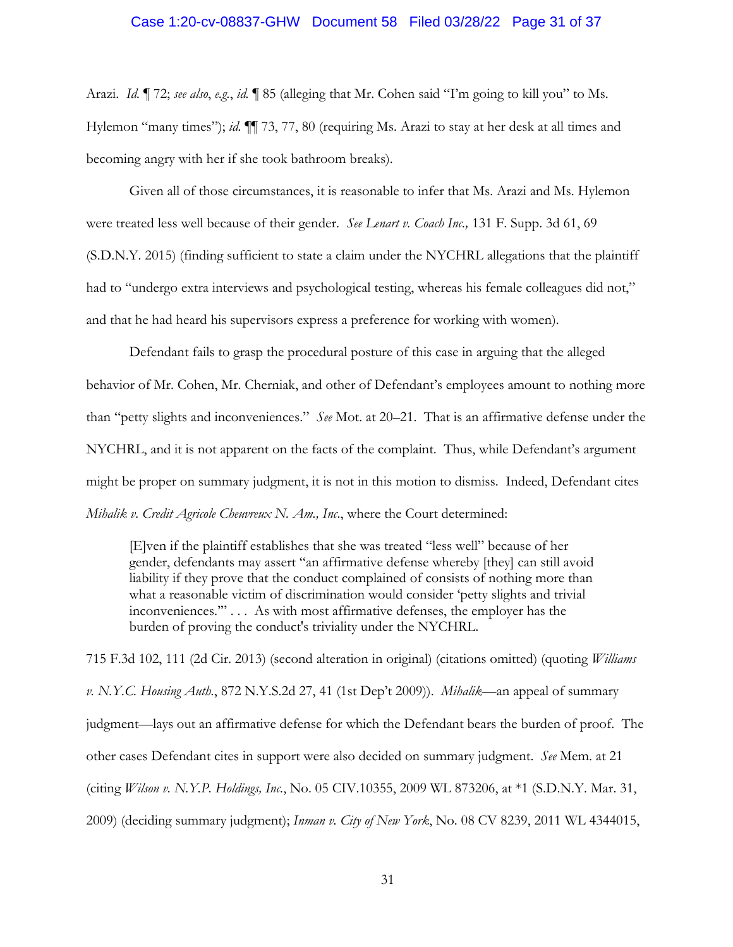## Case 1:20-cv-08837-GHW Document 58 Filed 03/28/22 Page 31 of 37

Arazi. *Id.* ¶ 72; *see also*, *e.g.*, *id.* ¶ 85 (alleging that Mr. Cohen said "I'm going to kill you" to Ms. Hylemon "many times"); *id.* ¶¶ 73, 77, 80 (requiring Ms. Arazi to stay at her desk at all times and becoming angry with her if she took bathroom breaks).

Given all of those circumstances, it is reasonable to infer that Ms. Arazi and Ms. Hylemon were treated less well because of their gender. *See Lenart v. Coach Inc.,* 131 F. Supp. 3d 61, 69 (S.D.N.Y. 2015) (finding sufficient to state a claim under the NYCHRL allegations that the plaintiff had to "undergo extra interviews and psychological testing, whereas his female colleagues did not," and that he had heard his supervisors express a preference for working with women).

Defendant fails to grasp the procedural posture of this case in arguing that the alleged behavior of Mr. Cohen, Mr. Cherniak, and other of Defendant's employees amount to nothing more than "petty slights and inconveniences." *See* Mot. at 20–21. That is an affirmative defense under the NYCHRL, and it is not apparent on the facts of the complaint. Thus, while Defendant's argument might be proper on summary judgment, it is not in this motion to dismiss. Indeed, Defendant cites *Mihalik v. Credit Agricole Cheuvreux N. Am., Inc*., where the Court determined:

[E]ven if the plaintiff establishes that she was treated "less well" because of her gender, defendants may assert "an affirmative defense whereby [they] can still avoid liability if they prove that the conduct complained of consists of nothing more than what a reasonable victim of discrimination would consider 'petty slights and trivial inconveniences.'" . . . As with most affirmative defenses, the employer has the burden of proving the conduct's triviality under the NYCHRL.

715 F.3d 102, 111 (2d Cir. 2013) (second alteration in original) (citations omitted) (quoting *Williams v. N.Y.C. Housing Auth.*, 872 N.Y.S.2d 27, 41 (1st Dep't 2009)). *Mihalik*—an appeal of summary judgment—lays out an affirmative defense for which the Defendant bears the burden of proof. The other cases Defendant cites in support were also decided on summary judgment. *See* Mem. at 21 (citing *Wilson v. N.Y.P. Holdings, Inc.*, No. 05 CIV.10355, 2009 WL 873206, at \*1 (S.D.N.Y. Mar. 31, 2009) (deciding summary judgment); *Inman v. City of New York*, No. 08 CV 8239, 2011 WL 4344015,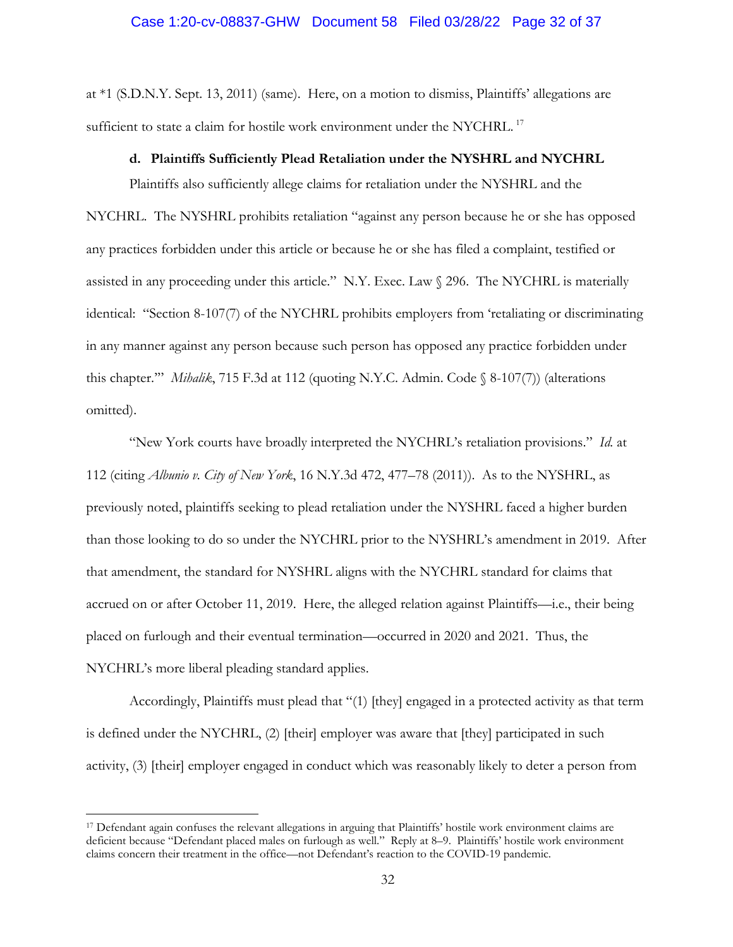at \*1 (S.D.N.Y. Sept. 13, 2011) (same). Here, on a motion to dismiss, Plaintiffs' allegations are sufficient to state a claim for hostile work environment under the NYCHRL.<sup>17</sup>

#### **d. Plaintiffs Sufficiently Plead Retaliation under the NYSHRL and NYCHRL**

Plaintiffs also sufficiently allege claims for retaliation under the NYSHRL and the NYCHRL. The NYSHRL prohibits retaliation "against any person because he or she has opposed any practices forbidden under this article or because he or she has filed a complaint, testified or assisted in any proceeding under this article." N.Y. Exec. Law § 296. The NYCHRL is materially identical: "Section 8-107(7) of the NYCHRL prohibits employers from 'retaliating or discriminating in any manner against any person because such person has opposed any practice forbidden under this chapter.'" *Mihalik*, 715 F.3d at 112 (quoting N.Y.C. Admin. Code § 8-107(7)) (alterations omitted).

"New York courts have broadly interpreted the NYCHRL's retaliation provisions." *Id.* at 112 (citing *Albunio v. City of New York*, 16 N.Y.3d 472, 477–78 (2011)). As to the NYSHRL, as previously noted, plaintiffs seeking to plead retaliation under the NYSHRL faced a higher burden than those looking to do so under the NYCHRL prior to the NYSHRL's amendment in 2019. After that amendment, the standard for NYSHRL aligns with the NYCHRL standard for claims that accrued on or after October 11, 2019. Here, the alleged relation against Plaintiffs—i.e., their being placed on furlough and their eventual termination—occurred in 2020 and 2021. Thus, the NYCHRL's more liberal pleading standard applies.

Accordingly, Plaintiffs must plead that "(1) [they] engaged in a protected activity as that term is defined under the NYCHRL, (2) [their] employer was aware that [they] participated in such activity, (3) [their] employer engaged in conduct which was reasonably likely to deter a person from

<sup>17</sup> Defendant again confuses the relevant allegations in arguing that Plaintiffs' hostile work environment claims are deficient because "Defendant placed males on furlough as well." Reply at 8–9. Plaintiffs' hostile work environment claims concern their treatment in the office—not Defendant's reaction to the COVID-19 pandemic.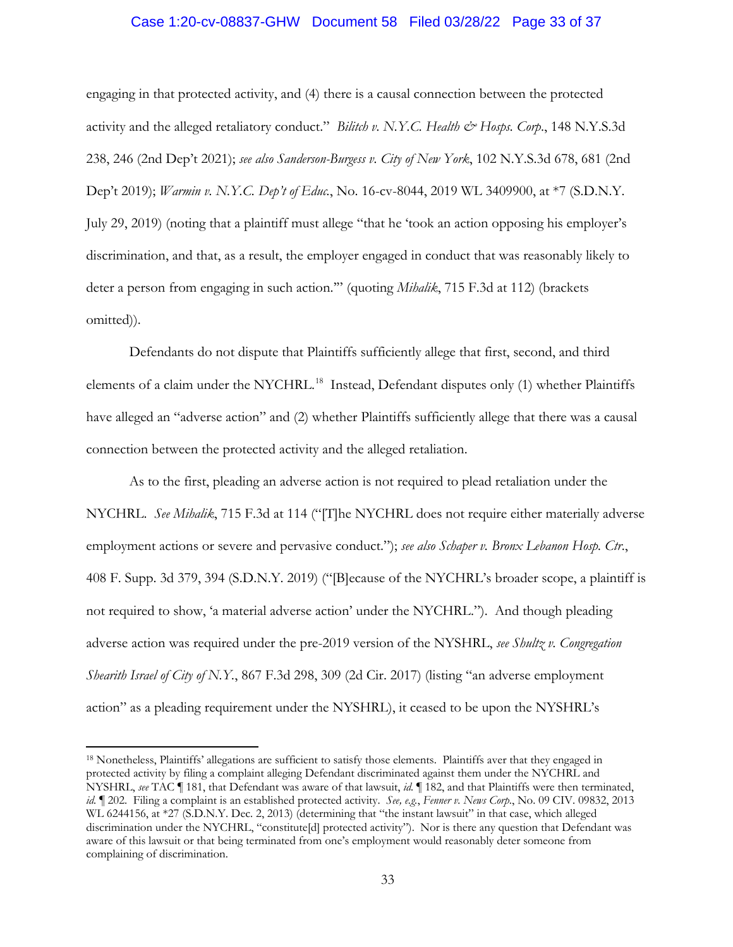## Case 1:20-cv-08837-GHW Document 58 Filed 03/28/22 Page 33 of 37

engaging in that protected activity, and (4) there is a causal connection between the protected activity and the alleged retaliatory conduct." *Bilitch v. N.Y.C. Health & Hosps. Corp.*, 148 N.Y.S.3d 238, 246 (2nd Dep't 2021); *see also Sanderson-Burgess v. City of New York*, 102 N.Y.S.3d 678, 681 (2nd Dep't 2019); *Warmin v. N.Y.C. Dep't of Educ.*, No. 16-cv-8044, 2019 WL 3409900, at \*7 (S.D.N.Y. July 29, 2019) (noting that a plaintiff must allege "that he 'took an action opposing his employer's discrimination, and that, as a result, the employer engaged in conduct that was reasonably likely to deter a person from engaging in such action.'" (quoting *Mihalik*, 715 F.3d at 112) (brackets omitted)).

Defendants do not dispute that Plaintiffs sufficiently allege that first, second, and third elements of a claim under the NYCHRL.<sup>18</sup> Instead, Defendant disputes only (1) whether Plaintiffs have alleged an "adverse action" and (2) whether Plaintiffs sufficiently allege that there was a causal connection between the protected activity and the alleged retaliation.

As to the first, pleading an adverse action is not required to plead retaliation under the NYCHRL. *See Mihalik*, 715 F.3d at 114 ("[T]he NYCHRL does not require either materially adverse employment actions or severe and pervasive conduct."); *see also Schaper v. Bronx Lebanon Hosp. Ctr*., 408 F. Supp. 3d 379, 394 (S.D.N.Y. 2019) ("[B]ecause of the NYCHRL's broader scope, a plaintiff is not required to show, 'a material adverse action' under the NYCHRL."). And though pleading adverse action was required under the pre-2019 version of the NYSHRL, *see Shultz v. Congregation Shearith Israel of City of N.Y.*, 867 F.3d 298, 309 (2d Cir. 2017) (listing "an adverse employment action" as a pleading requirement under the NYSHRL), it ceased to be upon the NYSHRL's

<sup>&</sup>lt;sup>18</sup> Nonetheless, Plaintiffs' allegations are sufficient to satisfy those elements. Plaintiffs aver that they engaged in protected activity by filing a complaint alleging Defendant discriminated against them under the NYCHRL and NYSHRL, *see* TAC ¶ 181, that Defendant was aware of that lawsuit, *id.* ¶ 182, and that Plaintiffs were then terminated, *id.* ¶ 202. Filing a complaint is an established protected activity. *See, e.g.*, *Fenner v. News Corp*., No. 09 CIV. 09832, 2013 WL 6244156, at \*27 (S.D.N.Y. Dec. 2, 2013) (determining that "the instant lawsuit" in that case, which alleged discrimination under the NYCHRL, "constitute[d] protected activity"). Nor is there any question that Defendant was aware of this lawsuit or that being terminated from one's employment would reasonably deter someone from complaining of discrimination.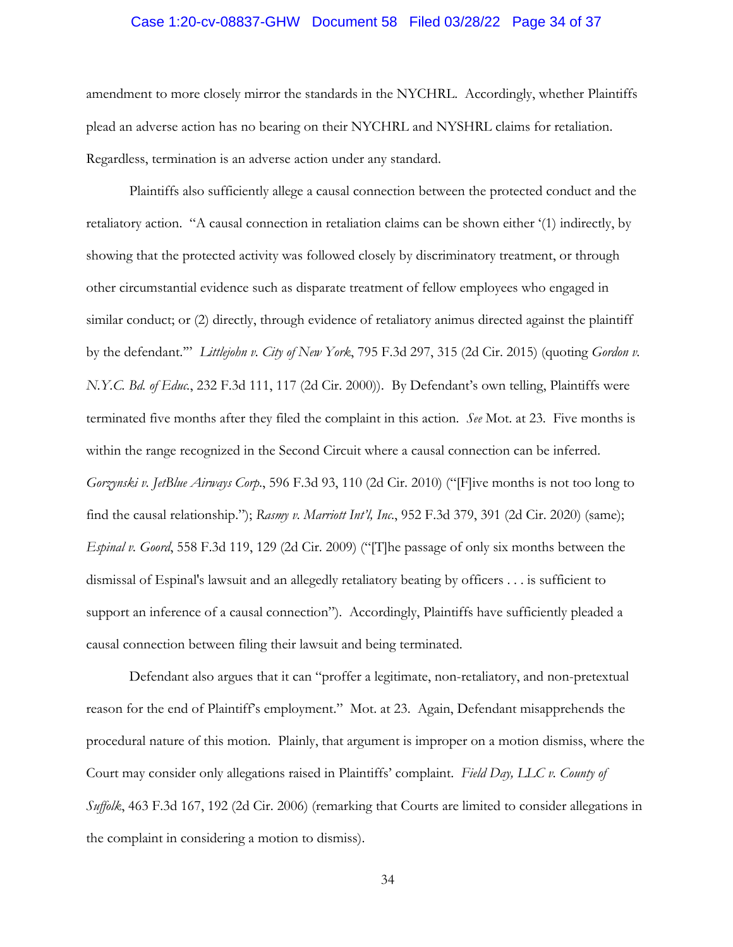## Case 1:20-cv-08837-GHW Document 58 Filed 03/28/22 Page 34 of 37

amendment to more closely mirror the standards in the NYCHRL. Accordingly, whether Plaintiffs plead an adverse action has no bearing on their NYCHRL and NYSHRL claims for retaliation. Regardless, termination is an adverse action under any standard.

Plaintiffs also sufficiently allege a causal connection between the protected conduct and the retaliatory action. "A causal connection in retaliation claims can be shown either '(1) indirectly, by showing that the protected activity was followed closely by discriminatory treatment, or through other circumstantial evidence such as disparate treatment of fellow employees who engaged in similar conduct; or (2) directly, through evidence of retaliatory animus directed against the plaintiff by the defendant.'" *Littlejohn v. City of New York*, 795 F.3d 297, 315 (2d Cir. 2015) (quoting *Gordon v. N.Y.C. Bd. of Educ.*, 232 F.3d 111, 117 (2d Cir. 2000)). By Defendant's own telling, Plaintiffs were terminated five months after they filed the complaint in this action. *See* Mot. at 23. Five months is within the range recognized in the Second Circuit where a causal connection can be inferred. *Gorzynski v. JetBlue Airways Corp*., 596 F.3d 93, 110 (2d Cir. 2010) ("[F]ive months is not too long to find the causal relationship."); *Rasmy v. Marriott Int'l, Inc*., 952 F.3d 379, 391 (2d Cir. 2020) (same); *Espinal v. Goord*, 558 F.3d 119, 129 (2d Cir. 2009) ("[T]he passage of only six months between the dismissal of Espinal's lawsuit and an allegedly retaliatory beating by officers . . . is sufficient to support an inference of a causal connection"). Accordingly, Plaintiffs have sufficiently pleaded a causal connection between filing their lawsuit and being terminated.

Defendant also argues that it can "proffer a legitimate, non-retaliatory, and non-pretextual reason for the end of Plaintiff's employment." Mot. at 23. Again, Defendant misapprehends the procedural nature of this motion. Plainly, that argument is improper on a motion dismiss, where the Court may consider only allegations raised in Plaintiffs' complaint. *Field Day, LLC v. County of Suffolk*, 463 F.3d 167, 192 (2d Cir. 2006) (remarking that Courts are limited to consider allegations in the complaint in considering a motion to dismiss).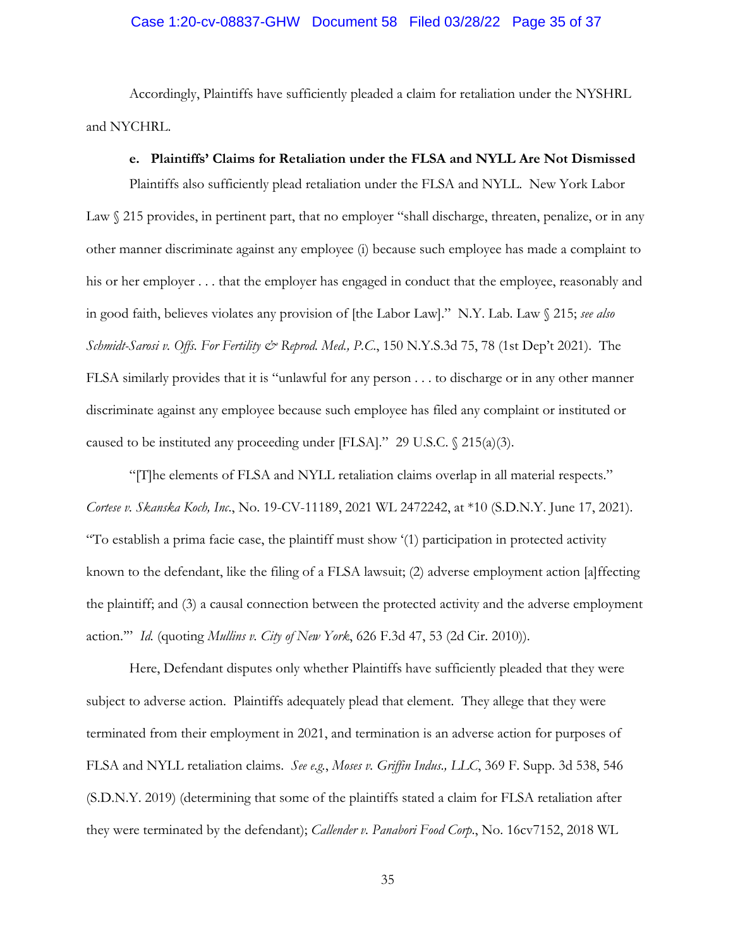## Case 1:20-cv-08837-GHW Document 58 Filed 03/28/22 Page 35 of 37

Accordingly, Plaintiffs have sufficiently pleaded a claim for retaliation under the NYSHRL and NYCHRL.

### **e. Plaintiffs' Claims for Retaliation under the FLSA and NYLL Are Not Dismissed**

Plaintiffs also sufficiently plead retaliation under the FLSA and NYLL. New York Labor Law  $\Diamond$  215 provides, in pertinent part, that no employer "shall discharge, threaten, penalize, or in any other manner discriminate against any employee (i) because such employee has made a complaint to his or her employer . . . that the employer has engaged in conduct that the employee, reasonably and in good faith, believes violates any provision of [the Labor Law]." N.Y. Lab. Law § 215; *see also Schmidt-Sarosi v. Offs. For Fertility & Reprod. Med., P.C*., 150 N.Y.S.3d 75, 78 (1st Dep't 2021). The FLSA similarly provides that it is "unlawful for any person . . . to discharge or in any other manner discriminate against any employee because such employee has filed any complaint or instituted or caused to be instituted any proceeding under [FLSA]." 29 U.S.C. § 215(a)(3).

"[T]he elements of FLSA and NYLL retaliation claims overlap in all material respects." *Cortese v. Skanska Koch, Inc*., No. 19-CV-11189, 2021 WL 2472242, at \*10 (S.D.N.Y. June 17, 2021). "To establish a prima facie case, the plaintiff must show '(1) participation in protected activity known to the defendant, like the filing of a FLSA lawsuit; (2) adverse employment action [a]ffecting the plaintiff; and (3) a causal connection between the protected activity and the adverse employment action.'" *Id.* (quoting *Mullins v. City of New York*, 626 F.3d 47, 53 (2d Cir. 2010)).

Here, Defendant disputes only whether Plaintiffs have sufficiently pleaded that they were subject to adverse action. Plaintiffs adequately plead that element. They allege that they were terminated from their employment in 2021, and termination is an adverse action for purposes of FLSA and NYLL retaliation claims. *See e.g.*, *Moses v. Griffin Indus*.*, LLC*, 369 F. Supp. 3d 538, 546 (S.D.N.Y. 2019) (determining that some of the plaintiffs stated a claim for FLSA retaliation after they were terminated by the defendant); *Callender v. Panabori Food Corp*., No. 16cv7152, 2018 WL

35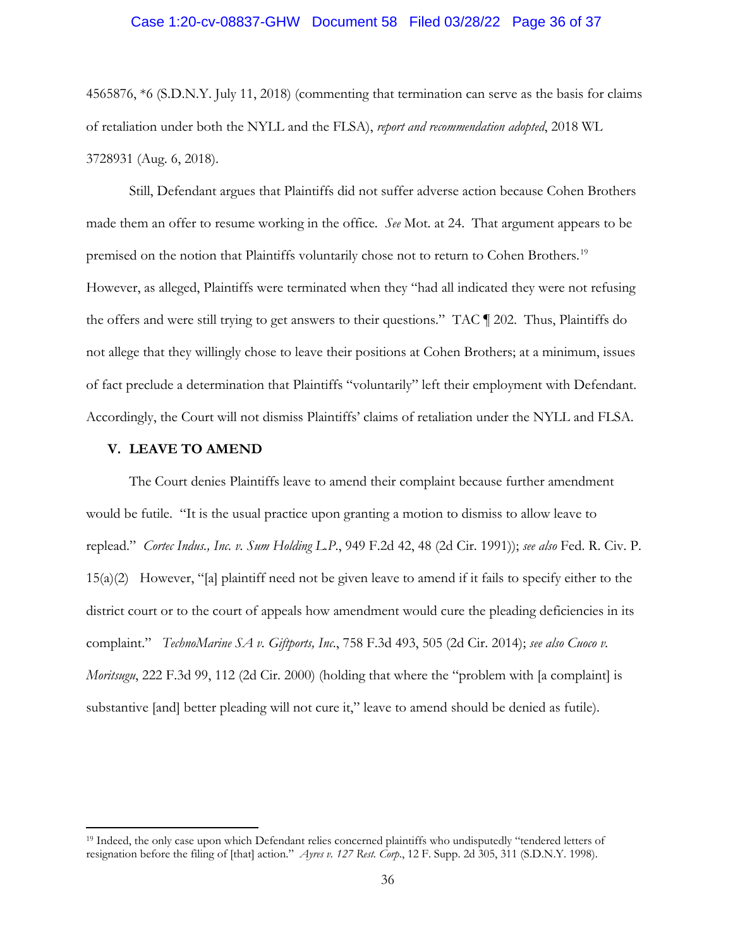### Case 1:20-cv-08837-GHW Document 58 Filed 03/28/22 Page 36 of 37

4565876, \*6 (S.D.N.Y. July 11, 2018) (commenting that termination can serve as the basis for claims of retaliation under both the NYLL and the FLSA), *report and recommendation adopted*, 2018 WL 3728931 (Aug. 6, 2018).

Still, Defendant argues that Plaintiffs did not suffer adverse action because Cohen Brothers made them an offer to resume working in the office. *See* Mot. at 24. That argument appears to be premised on the notion that Plaintiffs voluntarily chose not to return to Cohen Brothers.<sup>19</sup> However, as alleged, Plaintiffs were terminated when they "had all indicated they were not refusing the offers and were still trying to get answers to their questions." TAC ¶ 202. Thus, Plaintiffs do not allege that they willingly chose to leave their positions at Cohen Brothers; at a minimum, issues of fact preclude a determination that Plaintiffs "voluntarily" left their employment with Defendant. Accordingly, the Court will not dismiss Plaintiffs' claims of retaliation under the NYLL and FLSA.

### **V. LEAVE TO AMEND**

The Court denies Plaintiffs leave to amend their complaint because further amendment would be futile. "It is the usual practice upon granting a motion to dismiss to allow leave to replead." *Cortec Indus., Inc. v. Sum Holding L.P*., 949 F.2d 42, 48 (2d Cir. 1991)); *see also* Fed. R. Civ. P. 15(a)(2) However, "[a] plaintiff need not be given leave to amend if it fails to specify either to the district court or to the court of appeals how amendment would cure the pleading deficiencies in its complaint." *TechnoMarine SA v. Giftports, Inc*., 758 F.3d 493, 505 (2d Cir. 2014); *see also Cuoco v. Moritsugu*, 222 F.3d 99, 112 (2d Cir. 2000) (holding that where the "problem with [a complaint] is substantive [and] better pleading will not cure it," leave to amend should be denied as futile).

<sup>&</sup>lt;sup>19</sup> Indeed, the only case upon which Defendant relies concerned plaintiffs who undisputedly "tendered letters of resignation before the filing of [that] action." *Ayres v. 127 Rest. Corp*., 12 F. Supp. 2d 305, 311 (S.D.N.Y. 1998).